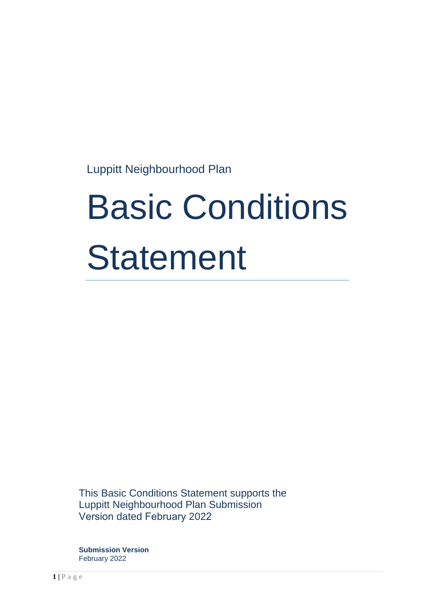Luppitt Neighbourhood Plan

# Basic Conditions **Statement**

This Basic Conditions Statement supports the Luppitt Neighbourhood Plan Submission Version dated February 2022

**Submission Version** February 2022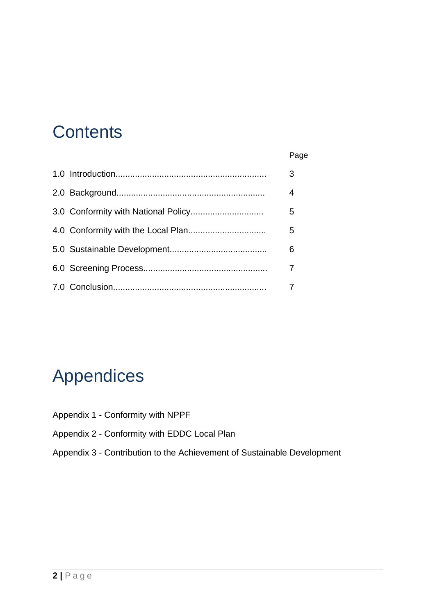#### **Contents**

|  | Page |
|--|------|

|  | 3              |
|--|----------------|
|  | $\overline{4}$ |
|  | 5              |
|  | 5              |
|  | 6              |
|  | 7              |
|  |                |

#### Appendices

- Appendix 1 Conformity with NPPF
- Appendix 2 Conformity with EDDC Local Plan
- Appendix 3 Contribution to the Achievement of Sustainable Development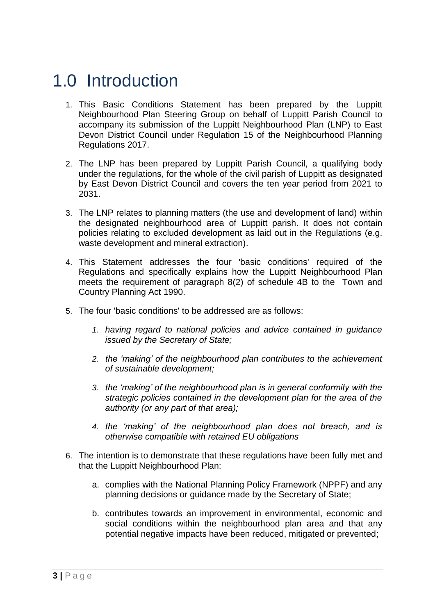#### 1.0 Introduction

- 1. This Basic Conditions Statement has been prepared by the Luppitt Neighbourhood Plan Steering Group on behalf of Luppitt Parish Council to accompany its submission of the Luppitt Neighbourhood Plan (LNP) to East Devon District Council under Regulation 15 of the Neighbourhood Planning Regulations 2017.
- 2. The LNP has been prepared by Luppitt Parish Council, a qualifying body under the regulations, for the whole of the civil parish of Luppitt as designated by East Devon District Council and covers the ten year period from 2021 to 2031.
- 3. The LNP relates to planning matters (the use and development of land) within the designated neighbourhood area of Luppitt parish. It does not contain policies relating to excluded development as laid out in the Regulations (e.g. waste development and mineral extraction).
- 4. This Statement addresses the four 'basic conditions' required of the Regulations and specifically explains how the Luppitt Neighbourhood Plan meets the requirement of paragraph 8(2) of schedule 4B to the Town and Country Planning Act 1990.
- 5. The four 'basic conditions' to be addressed are as follows:
	- *1. having regard to national policies and advice contained in guidance issued by the Secretary of State;*
	- *2. the 'making' of the neighbourhood plan contributes to the achievement of sustainable development;*
	- *3. the 'making' of the neighbourhood plan is in general conformity with the strategic policies contained in the development plan for the area of the authority (or any part of that area);*
	- *4. the 'making' of the neighbourhood plan does not breach, and is otherwise compatible with retained EU obligations*
- 6. The intention is to demonstrate that these regulations have been fully met and that the Luppitt Neighbourhood Plan:
	- a. complies with the National Planning Policy Framework (NPPF) and any planning decisions or guidance made by the Secretary of State;
	- b. contributes towards an improvement in environmental, economic and social conditions within the neighbourhood plan area and that any potential negative impacts have been reduced, mitigated or prevented;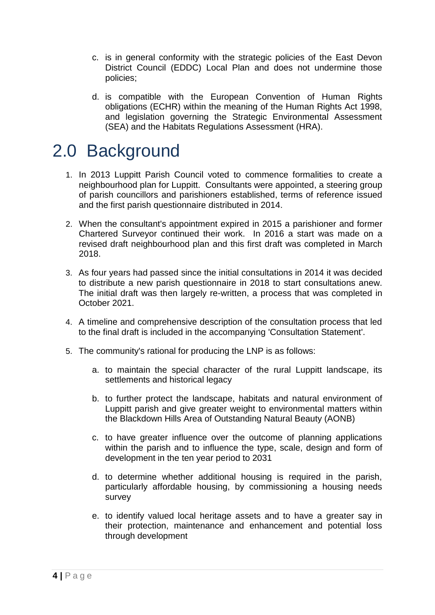- c. is in general conformity with the strategic policies of the East Devon District Council (EDDC) Local Plan and does not undermine those policies;
- d. is compatible with the European Convention of Human Rights obligations (ECHR) within the meaning of the Human Rights Act 1998, and legislation governing the Strategic Environmental Assessment (SEA) and the Habitats Regulations Assessment (HRA).

#### 2.0 Background

- 1. In 2013 Luppitt Parish Council voted to commence formalities to create a neighbourhood plan for Luppitt. Consultants were appointed, a steering group of parish councillors and parishioners established, terms of reference issued and the first parish questionnaire distributed in 2014.
- 2. When the consultant's appointment expired in 2015 a parishioner and former Chartered Surveyor continued their work. In 2016 a start was made on a revised draft neighbourhood plan and this first draft was completed in March 2018.
- 3. As four years had passed since the initial consultations in 2014 it was decided to distribute a new parish questionnaire in 2018 to start consultations anew. The initial draft was then largely re-written, a process that was completed in October 2021.
- 4. A timeline and comprehensive description of the consultation process that led to the final draft is included in the accompanying 'Consultation Statement'.
- 5. The community's rational for producing the LNP is as follows:
	- a. to maintain the special character of the rural Luppitt landscape, its settlements and historical legacy
	- b. to further protect the landscape, habitats and natural environment of Luppitt parish and give greater weight to environmental matters within the Blackdown Hills Area of Outstanding Natural Beauty (AONB)
	- c. to have greater influence over the outcome of planning applications within the parish and to influence the type, scale, design and form of development in the ten year period to 2031
	- d. to determine whether additional housing is required in the parish, particularly affordable housing, by commissioning a housing needs survey
	- e. to identify valued local heritage assets and to have a greater say in their protection, maintenance and enhancement and potential loss through development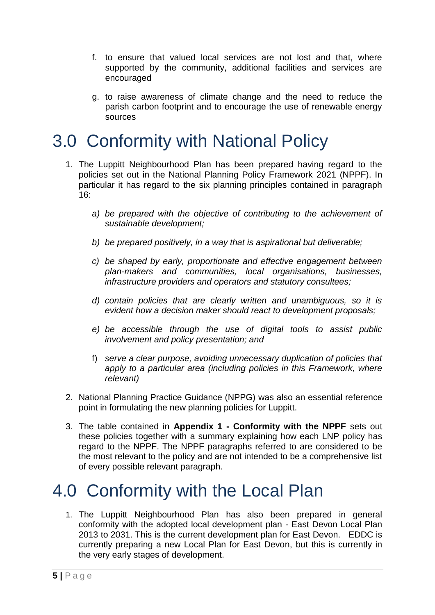- f. to ensure that valued local services are not lost and that, where supported by the community, additional facilities and services are encouraged
- g. to raise awareness of climate change and the need to reduce the parish carbon footprint and to encourage the use of renewable energy sources

#### 3.0 Conformity with National Policy

- 1. The Luppitt Neighbourhood Plan has been prepared having regard to the policies set out in the National Planning Policy Framework 2021 (NPPF). In particular it has regard to the six planning principles contained in paragraph 16:
	- *a) be prepared with the objective of contributing to the achievement of sustainable development;*
	- *b) be prepared positively, in a way that is aspirational but deliverable;*
	- *c) be shaped by early, proportionate and effective engagement between plan-makers and communities, local organisations, businesses, infrastructure providers and operators and statutory consultees;*
	- *d) contain policies that are clearly written and unambiguous, so it is evident how a decision maker should react to development proposals;*
	- *e) be accessible through the use of digital tools to assist public involvement and policy presentation; and*
	- f) *serve a clear purpose, avoiding unnecessary duplication of policies that*  apply to a particular area (including policies in this Framework, where *relevant)*
- 2. National Planning Practice Guidance (NPPG) was also an essential reference point in formulating the new planning policies for Luppitt.
- 3. The table contained in **Appendix 1 - Conformity with the NPPF** sets out these policies together with a summary explaining how each LNP policy has regard to the NPPF. The NPPF paragraphs referred to are considered to be the most relevant to the policy and are not intended to be a comprehensive list of every possible relevant paragraph.

#### 4.0 Conformity with the Local Plan

1. The Luppitt Neighbourhood Plan has also been prepared in general conformity with the adopted local development plan - East Devon Local Plan 2013 to 2031. This is the current development plan for East Devon. EDDC is currently preparing a new Local Plan for East Devon, but this is currently in the very early stages of development.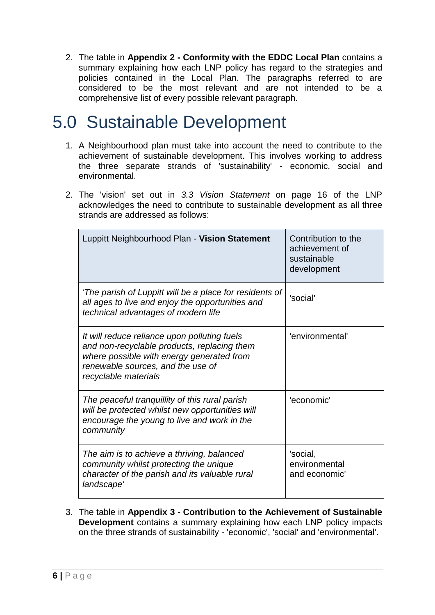2. The table in **Appendix 2 - Conformity with the EDDC Local Plan** contains a summary explaining how each LNP policy has regard to the strategies and policies contained in the Local Plan. The paragraphs referred to are considered to be the most relevant and are not intended to be a comprehensive list of every possible relevant paragraph.

#### 5.0 Sustainable Development

- 1. A Neighbourhood plan must take into account the need to contribute to the achievement of sustainable development. This involves working to address the three separate strands of 'sustainability' - economic, social and environmental.
- 2. The 'vision' set out in *3.3 Vision Statement* on page 16 of the LNP acknowledges the need to contribute to sustainable development as all three strands are addressed as follows:

| Luppitt Neighbourhood Plan - Vision Statement                                                                                                                                                         | Contribution to the<br>achievement of<br>sustainable<br>development |
|-------------------------------------------------------------------------------------------------------------------------------------------------------------------------------------------------------|---------------------------------------------------------------------|
| 'The parish of Luppitt will be a place for residents of<br>all ages to live and enjoy the opportunities and<br>technical advantages of modern life                                                    | 'social'                                                            |
| It will reduce reliance upon polluting fuels<br>and non-recyclable products, replacing them<br>where possible with energy generated from<br>renewable sources, and the use of<br>recyclable materials | 'environmental'                                                     |
| The peaceful tranquillity of this rural parish<br>will be protected whilst new opportunities will<br>encourage the young to live and work in the<br>community                                         | 'economic'                                                          |
| The aim is to achieve a thriving, balanced<br>community whilst protecting the unique<br>character of the parish and its valuable rural<br>landscape'                                                  | 'social,<br>environmental<br>and economic'                          |

3. The table in **Appendix 3 - Contribution to the Achievement of Sustainable Development** contains a summary explaining how each LNP policy impacts on the three strands of sustainability - 'economic', 'social' and 'environmental'.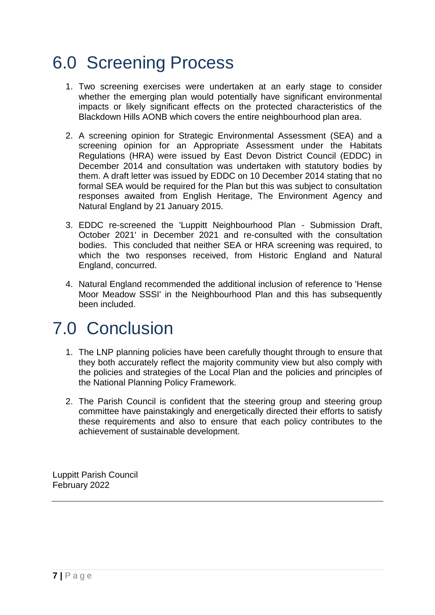#### 6.0 Screening Process

- 1. Two screening exercises were undertaken at an early stage to consider whether the emerging plan would potentially have significant environmental impacts or likely significant effects on the protected characteristics of the Blackdown Hills AONB which covers the entire neighbourhood plan area.
- 2. A screening opinion for Strategic Environmental Assessment (SEA) and a screening opinion for an Appropriate Assessment under the Habitats Regulations (HRA) were issued by East Devon District Council (EDDC) in December 2014 and consultation was undertaken with statutory bodies by them. A draft letter was issued by EDDC on 10 December 2014 stating that no formal SEA would be required for the Plan but this was subject to consultation responses awaited from English Heritage, The Environment Agency and Natural England by 21 January 2015.
- 3. EDDC re-screened the 'Luppitt Neighbourhood Plan Submission Draft, October 2021' in December 2021 and re-consulted with the consultation bodies. This concluded that neither SEA or HRA screening was required, to which the two responses received, from Historic England and Natural England, concurred.
- 4. Natural England recommended the additional inclusion of reference to 'Hense Moor Meadow SSSI' in the Neighbourhood Plan and this has subsequently been included.

#### 7.0 Conclusion

- 1. The LNP planning policies have been carefully thought through to ensure that they both accurately reflect the majority community view but also comply with the policies and strategies of the Local Plan and the policies and principles of the National Planning Policy Framework.
- 2. The Parish Council is confident that the steering group and steering group committee have painstakingly and energetically directed their efforts to satisfy these requirements and also to ensure that each policy contributes to the achievement of sustainable development.

Luppitt Parish Council February 2022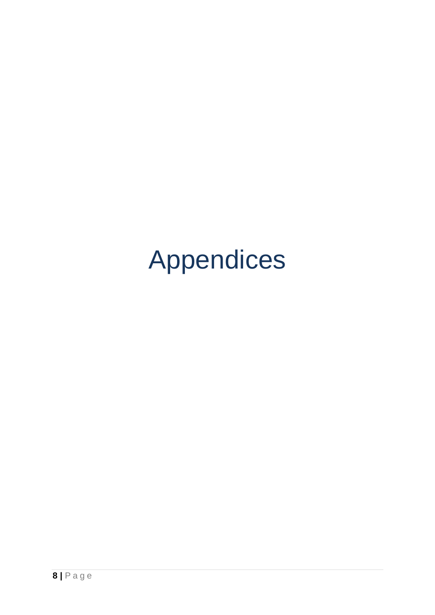## Appendices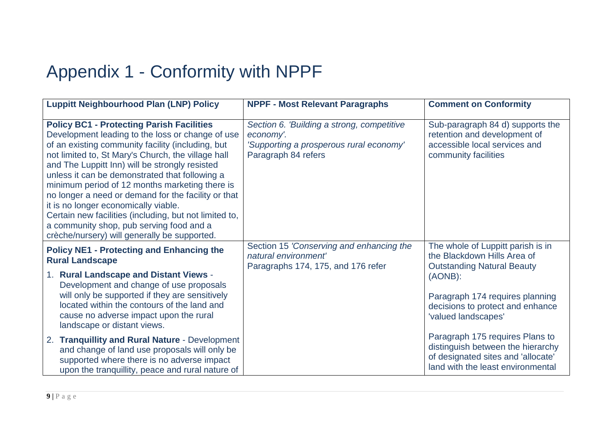### Appendix 1 - Conformity with NPPF

| <b>Luppitt Neighbourhood Plan (LNP) Policy</b>                                                                                                                                                                                                                                                                                                                                                                                                                                                                                                                                                                             | <b>NPPF - Most Relevant Paragraphs</b>                                                                                    | <b>Comment on Conformity</b>                                                                                                                    |
|----------------------------------------------------------------------------------------------------------------------------------------------------------------------------------------------------------------------------------------------------------------------------------------------------------------------------------------------------------------------------------------------------------------------------------------------------------------------------------------------------------------------------------------------------------------------------------------------------------------------------|---------------------------------------------------------------------------------------------------------------------------|-------------------------------------------------------------------------------------------------------------------------------------------------|
| <b>Policy BC1 - Protecting Parish Facilities</b><br>Development leading to the loss or change of use<br>of an existing community facility (including, but<br>not limited to, St Mary's Church, the village hall<br>and The Luppitt Inn) will be strongly resisted<br>unless it can be demonstrated that following a<br>minimum period of 12 months marketing there is<br>no longer a need or demand for the facility or that<br>it is no longer economically viable.<br>Certain new facilities (including, but not limited to,<br>a community shop, pub serving food and a<br>crèche/nursery) will generally be supported. | Section 6. 'Building a strong, competitive<br>economy'.<br>'Supporting a prosperous rural economy'<br>Paragraph 84 refers | Sub-paragraph 84 d) supports the<br>retention and development of<br>accessible local services and<br>community facilities                       |
| <b>Policy NE1 - Protecting and Enhancing the</b><br><b>Rural Landscape</b>                                                                                                                                                                                                                                                                                                                                                                                                                                                                                                                                                 | Section 15 'Conserving and enhancing the<br>natural environment'<br>Paragraphs 174, 175, and 176 refer                    | The whole of Luppitt parish is in<br>the Blackdown Hills Area of<br><b>Outstanding Natural Beauty</b>                                           |
| 1. Rural Landscape and Distant Views -<br>Development and change of use proposals                                                                                                                                                                                                                                                                                                                                                                                                                                                                                                                                          |                                                                                                                           | (AONB):                                                                                                                                         |
| will only be supported if they are sensitively<br>located within the contours of the land and<br>cause no adverse impact upon the rural<br>landscape or distant views.                                                                                                                                                                                                                                                                                                                                                                                                                                                     |                                                                                                                           | Paragraph 174 requires planning<br>decisions to protect and enhance<br>'valued landscapes'                                                      |
| 2. Tranquillity and Rural Nature - Development<br>and change of land use proposals will only be<br>supported where there is no adverse impact<br>upon the tranquillity, peace and rural nature of                                                                                                                                                                                                                                                                                                                                                                                                                          |                                                                                                                           | Paragraph 175 requires Plans to<br>distinguish between the hierarchy<br>of designated sites and 'allocate'<br>land with the least environmental |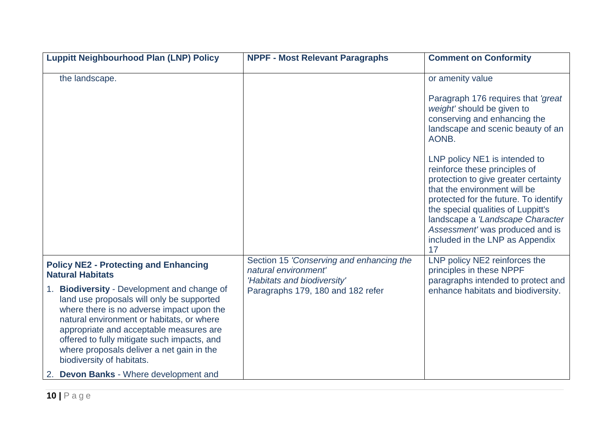| <b>Luppitt Neighbourhood Plan (LNP) Policy</b>                                                                                                                                                                                                                                                                                                         | <b>NPPF - Most Relevant Paragraphs</b>                                                          | <b>Comment on Conformity</b>                                                                                                                                                                                                                                                                                                          |
|--------------------------------------------------------------------------------------------------------------------------------------------------------------------------------------------------------------------------------------------------------------------------------------------------------------------------------------------------------|-------------------------------------------------------------------------------------------------|---------------------------------------------------------------------------------------------------------------------------------------------------------------------------------------------------------------------------------------------------------------------------------------------------------------------------------------|
| the landscape.                                                                                                                                                                                                                                                                                                                                         |                                                                                                 | or amenity value                                                                                                                                                                                                                                                                                                                      |
|                                                                                                                                                                                                                                                                                                                                                        |                                                                                                 | Paragraph 176 requires that 'great'<br>weight' should be given to<br>conserving and enhancing the<br>landscape and scenic beauty of an<br>AONB.                                                                                                                                                                                       |
|                                                                                                                                                                                                                                                                                                                                                        |                                                                                                 | LNP policy NE1 is intended to<br>reinforce these principles of<br>protection to give greater certainty<br>that the environment will be<br>protected for the future. To identify<br>the special qualities of Luppitt's<br>landscape a 'Landscape Character<br>Assessment' was produced and is<br>included in the LNP as Appendix<br>17 |
| <b>Policy NE2 - Protecting and Enhancing</b><br><b>Natural Habitats</b>                                                                                                                                                                                                                                                                                | Section 15 'Conserving and enhancing the<br>natural environment'<br>'Habitats and biodiversity' | LNP policy NE2 reinforces the<br>principles in these NPPF<br>paragraphs intended to protect and                                                                                                                                                                                                                                       |
| 1. Biodiversity - Development and change of<br>land use proposals will only be supported<br>where there is no adverse impact upon the<br>natural environment or habitats, or where<br>appropriate and acceptable measures are<br>offered to fully mitigate such impacts, and<br>where proposals deliver a net gain in the<br>biodiversity of habitats. | Paragraphs 179, 180 and 182 refer                                                               | enhance habitats and biodiversity.                                                                                                                                                                                                                                                                                                    |
| <b>Devon Banks - Where development and</b>                                                                                                                                                                                                                                                                                                             |                                                                                                 |                                                                                                                                                                                                                                                                                                                                       |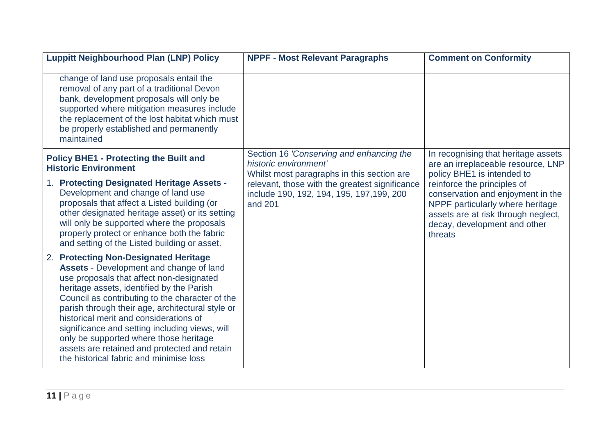| <b>Luppitt Neighbourhood Plan (LNP) Policy</b>                                                                                                                                                                                                                                                                                                                                                                                                                                                                                     | <b>NPPF - Most Relevant Paragraphs</b>                                                                          | <b>Comment on Conformity</b>                                                                                                                                                           |
|------------------------------------------------------------------------------------------------------------------------------------------------------------------------------------------------------------------------------------------------------------------------------------------------------------------------------------------------------------------------------------------------------------------------------------------------------------------------------------------------------------------------------------|-----------------------------------------------------------------------------------------------------------------|----------------------------------------------------------------------------------------------------------------------------------------------------------------------------------------|
| change of land use proposals entail the<br>removal of any part of a traditional Devon<br>bank, development proposals will only be<br>supported where mitigation measures include<br>the replacement of the lost habitat which must<br>be properly established and permanently<br>maintained                                                                                                                                                                                                                                        |                                                                                                                 |                                                                                                                                                                                        |
| <b>Policy BHE1 - Protecting the Built and</b><br><b>Historic Environment</b>                                                                                                                                                                                                                                                                                                                                                                                                                                                       | Section 16 'Conserving and enhancing the<br>historic environment'<br>Whilst most paragraphs in this section are | In recognising that heritage assets<br>are an irreplaceable resource, LNP<br>policy BHE1 is intended to                                                                                |
| 1. Protecting Designated Heritage Assets -<br>Development and change of land use<br>proposals that affect a Listed building (or<br>other designated heritage asset) or its setting<br>will only be supported where the proposals<br>properly protect or enhance both the fabric<br>and setting of the Listed building or asset.                                                                                                                                                                                                    | relevant, those with the greatest significance<br>include 190, 192, 194, 195, 197, 199, 200<br>and 201          | reinforce the principles of<br>conservation and enjoyment in the<br>NPPF particularly where heritage<br>assets are at risk through neglect,<br>decay, development and other<br>threats |
| <b>Protecting Non-Designated Heritage</b><br>2.<br><b>Assets - Development and change of land</b><br>use proposals that affect non-designated<br>heritage assets, identified by the Parish<br>Council as contributing to the character of the<br>parish through their age, architectural style or<br>historical merit and considerations of<br>significance and setting including views, will<br>only be supported where those heritage<br>assets are retained and protected and retain<br>the historical fabric and minimise loss |                                                                                                                 |                                                                                                                                                                                        |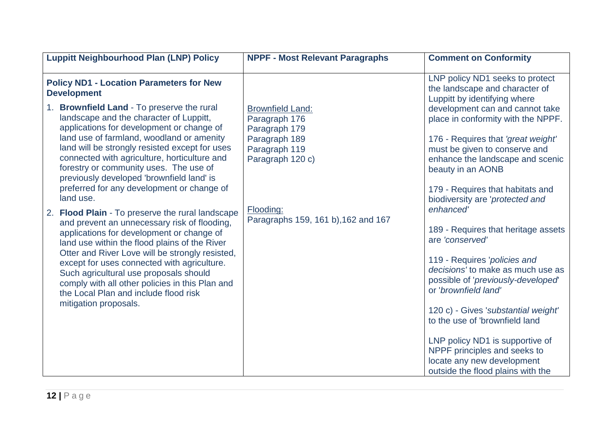| <b>Luppitt Neighbourhood Plan (LNP) Policy</b>                                                                                                                                                                                                                                   | <b>NPPF - Most Relevant Paragraphs</b>                    | <b>Comment on Conformity</b>                                                                                                                                     |
|----------------------------------------------------------------------------------------------------------------------------------------------------------------------------------------------------------------------------------------------------------------------------------|-----------------------------------------------------------|------------------------------------------------------------------------------------------------------------------------------------------------------------------|
| <b>Policy ND1 - Location Parameters for New</b><br><b>Development</b>                                                                                                                                                                                                            |                                                           | LNP policy ND1 seeks to protect<br>the landscape and character of<br>Luppitt by identifying where                                                                |
| 1. Brownfield Land - To preserve the rural<br>landscape and the character of Luppitt,<br>applications for development or change of                                                                                                                                               | <b>Brownfield Land:</b><br>Paragraph 176<br>Paragraph 179 | development can and cannot take<br>place in conformity with the NPPF.                                                                                            |
| land use of farmland, woodland or amenity<br>land will be strongly resisted except for uses<br>connected with agriculture, horticulture and<br>forestry or community uses. The use of<br>previously developed 'brownfield land' is<br>preferred for any development or change of | Paragraph 189<br>Paragraph 119<br>Paragraph 120 c)        | 176 - Requires that 'great weight'<br>must be given to conserve and<br>enhance the landscape and scenic<br>beauty in an AONB<br>179 - Requires that habitats and |
| land use.                                                                                                                                                                                                                                                                        | Flooding:                                                 | biodiversity are 'protected and<br>enhanced'                                                                                                                     |
| <b>Flood Plain - To preserve the rural landscape</b><br>2.<br>and prevent an unnecessary risk of flooding,<br>applications for development or change of<br>land use within the flood plains of the River                                                                         | Paragraphs 159, 161 b), 162 and 167                       | 189 - Requires that heritage assets<br>are 'conserved'                                                                                                           |
| Otter and River Love will be strongly resisted,<br>except for uses connected with agriculture.<br>Such agricultural use proposals should<br>comply with all other policies in this Plan and<br>the Local Plan and include flood risk                                             |                                                           | 119 - Requires 'policies and<br>decisions' to make as much use as<br>possible of 'previously-developed'<br>or 'brownfield land'                                  |
| mitigation proposals.                                                                                                                                                                                                                                                            |                                                           | 120 c) - Gives 'substantial weight'<br>to the use of 'brownfield land                                                                                            |
|                                                                                                                                                                                                                                                                                  |                                                           | LNP policy ND1 is supportive of<br>NPPF principles and seeks to<br>locate any new development<br>outside the flood plains with the                               |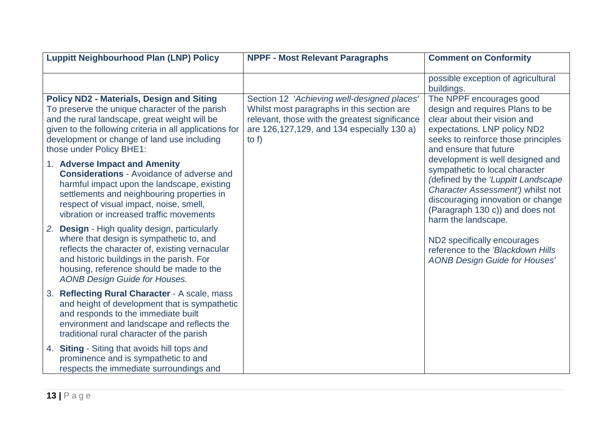| <b>Luppitt Neighbourhood Plan (LNP) Policy</b>                                                                                                                                                                                                                                            | <b>NPPF - Most Relevant Paragraphs</b>                                                                                                                                                                | <b>Comment on Conformity</b>                                                                                                                                                                                                                 |
|-------------------------------------------------------------------------------------------------------------------------------------------------------------------------------------------------------------------------------------------------------------------------------------------|-------------------------------------------------------------------------------------------------------------------------------------------------------------------------------------------------------|----------------------------------------------------------------------------------------------------------------------------------------------------------------------------------------------------------------------------------------------|
|                                                                                                                                                                                                                                                                                           |                                                                                                                                                                                                       | possible exception of agricultural<br>buildings.                                                                                                                                                                                             |
| <b>Policy ND2 - Materials, Design and Siting</b><br>To preserve the unique character of the parish<br>and the rural landscape, great weight will be<br>given to the following criteria in all applications for<br>development or change of land use including<br>those under Policy BHE1: | Section 12 'Achieving well-designed places'<br>Whilst most paragraphs in this section are<br>relevant, those with the greatest significance<br>are 126,127,129, and 134 especially 130 a)<br>to $f$ ) | The NPPF encourages good<br>design and requires Plans to be<br>clear about their vision and<br>expectations. LNP policy ND2<br>seeks to reinforce those principles<br>and ensure that future                                                 |
| 1. Adverse Impact and Amenity<br><b>Considerations - Avoidance of adverse and</b><br>harmful impact upon the landscape, existing<br>settlements and neighbouring properties in<br>respect of visual impact, noise, smell,<br>vibration or increased traffic movements                     |                                                                                                                                                                                                       | development is well designed and<br>sympathetic to local character<br>(defined by the 'Luppitt Landscape<br>Character Assessment') whilst not<br>discouraging innovation or change<br>(Paragraph 130 c)) and does not<br>harm the landscape. |
| 2. Design - High quality design, particularly<br>where that design is sympathetic to, and<br>reflects the character of, existing vernacular<br>and historic buildings in the parish. For<br>housing, reference should be made to the<br><b>AONB Design Guide for Houses.</b>              |                                                                                                                                                                                                       | ND2 specifically encourages<br>reference to the 'Blackdown Hills<br><b>AONB Design Guide for Houses'</b>                                                                                                                                     |
| 3. Reflecting Rural Character - A scale, mass<br>and height of development that is sympathetic<br>and responds to the immediate built<br>environment and landscape and reflects the<br>traditional rural character of the parish                                                          |                                                                                                                                                                                                       |                                                                                                                                                                                                                                              |
| 4. Siting - Siting that avoids hill tops and<br>prominence and is sympathetic to and<br>respects the immediate surroundings and                                                                                                                                                           |                                                                                                                                                                                                       |                                                                                                                                                                                                                                              |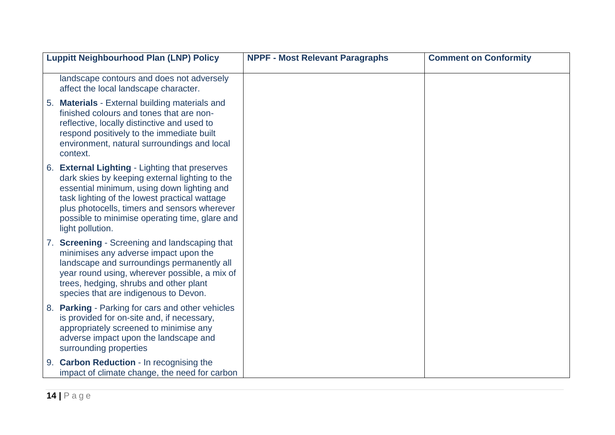| <b>Luppitt Neighbourhood Plan (LNP) Policy</b>                                                                                                                                                                                                                                                                        | <b>NPPF - Most Relevant Paragraphs</b> | <b>Comment on Conformity</b> |
|-----------------------------------------------------------------------------------------------------------------------------------------------------------------------------------------------------------------------------------------------------------------------------------------------------------------------|----------------------------------------|------------------------------|
| landscape contours and does not adversely<br>affect the local landscape character.                                                                                                                                                                                                                                    |                                        |                              |
| <b>Materials - External building materials and</b><br>5 <sub>1</sub><br>finished colours and tones that are non-<br>reflective, locally distinctive and used to<br>respond positively to the immediate built<br>environment, natural surroundings and local<br>context.                                               |                                        |                              |
| 6. External Lighting - Lighting that preserves<br>dark skies by keeping external lighting to the<br>essential minimum, using down lighting and<br>task lighting of the lowest practical wattage<br>plus photocells, timers and sensors wherever<br>possible to minimise operating time, glare and<br>light pollution. |                                        |                              |
| 7. Screening - Screening and landscaping that<br>minimises any adverse impact upon the<br>landscape and surroundings permanently all<br>year round using, wherever possible, a mix of<br>trees, hedging, shrubs and other plant<br>species that are indigenous to Devon.                                              |                                        |                              |
| <b>Parking - Parking for cars and other vehicles</b><br>8.<br>is provided for on-site and, if necessary,<br>appropriately screened to minimise any<br>adverse impact upon the landscape and<br>surrounding properties                                                                                                 |                                        |                              |
| 9. Carbon Reduction - In recognising the<br>impact of climate change, the need for carbon                                                                                                                                                                                                                             |                                        |                              |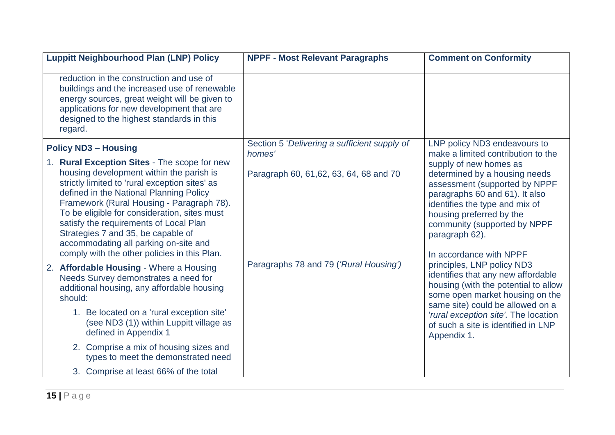| <b>Luppitt Neighbourhood Plan (LNP) Policy</b>                                                                                                                                                                                                                                                                                                                                                                                                                                                                                                                                                                                                                                                                                                                                                                                           | <b>NPPF - Most Relevant Paragraphs</b>                                                                                                      | <b>Comment on Conformity</b>                                                                                                                                                                                                                                                                                                                                                                                                                                                                                                                                                                                                 |
|------------------------------------------------------------------------------------------------------------------------------------------------------------------------------------------------------------------------------------------------------------------------------------------------------------------------------------------------------------------------------------------------------------------------------------------------------------------------------------------------------------------------------------------------------------------------------------------------------------------------------------------------------------------------------------------------------------------------------------------------------------------------------------------------------------------------------------------|---------------------------------------------------------------------------------------------------------------------------------------------|------------------------------------------------------------------------------------------------------------------------------------------------------------------------------------------------------------------------------------------------------------------------------------------------------------------------------------------------------------------------------------------------------------------------------------------------------------------------------------------------------------------------------------------------------------------------------------------------------------------------------|
| reduction in the construction and use of<br>buildings and the increased use of renewable<br>energy sources, great weight will be given to<br>applications for new development that are<br>designed to the highest standards in this<br>regard.                                                                                                                                                                                                                                                                                                                                                                                                                                                                                                                                                                                           |                                                                                                                                             |                                                                                                                                                                                                                                                                                                                                                                                                                                                                                                                                                                                                                              |
| <b>Policy ND3 - Housing</b><br>1. Rural Exception Sites - The scope for new<br>housing development within the parish is<br>strictly limited to 'rural exception sites' as<br>defined in the National Planning Policy<br>Framework (Rural Housing - Paragraph 78).<br>To be eligible for consideration, sites must<br>satisfy the requirements of Local Plan<br>Strategies 7 and 35, be capable of<br>accommodating all parking on-site and<br>comply with the other policies in this Plan.<br>2. Affordable Housing - Where a Housing<br>Needs Survey demonstrates a need for<br>additional housing, any affordable housing<br>should:<br>1. Be located on a 'rural exception site'<br>(see ND3 (1)) within Luppitt village as<br>defined in Appendix 1<br>2. Comprise a mix of housing sizes and<br>types to meet the demonstrated need | Section 5 'Delivering a sufficient supply of<br>homes'<br>Paragraph 60, 61, 62, 63, 64, 68 and 70<br>Paragraphs 78 and 79 ('Rural Housing') | LNP policy ND3 endeavours to<br>make a limited contribution to the<br>supply of new homes as<br>determined by a housing needs<br>assessment (supported by NPPF<br>paragraphs 60 and 61). It also<br>identifies the type and mix of<br>housing preferred by the<br>community (supported by NPPF<br>paragraph 62).<br>In accordance with NPPF<br>principles, LNP policy ND3<br>identifies that any new affordable<br>housing (with the potential to allow<br>some open market housing on the<br>same site) could be allowed on a<br>'rural exception site'. The location<br>of such a site is identified in LNP<br>Appendix 1. |
| 3. Comprise at least 66% of the total                                                                                                                                                                                                                                                                                                                                                                                                                                                                                                                                                                                                                                                                                                                                                                                                    |                                                                                                                                             |                                                                                                                                                                                                                                                                                                                                                                                                                                                                                                                                                                                                                              |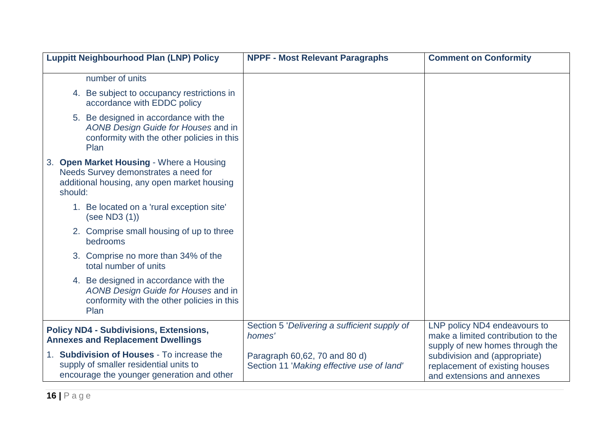| <b>Luppitt Neighbourhood Plan (LNP) Policy</b>                                                                                             | <b>NPPF - Most Relevant Paragraphs</b>                                     | <b>Comment on Conformity</b>                                                                          |
|--------------------------------------------------------------------------------------------------------------------------------------------|----------------------------------------------------------------------------|-------------------------------------------------------------------------------------------------------|
| number of units                                                                                                                            |                                                                            |                                                                                                       |
| 4. Be subject to occupancy restrictions in<br>accordance with EDDC policy                                                                  |                                                                            |                                                                                                       |
| 5. Be designed in accordance with the<br>AONB Design Guide for Houses and in<br>conformity with the other policies in this<br>Plan         |                                                                            |                                                                                                       |
| 3. Open Market Housing - Where a Housing<br>Needs Survey demonstrates a need for<br>additional housing, any open market housing<br>should: |                                                                            |                                                                                                       |
| 1. Be located on a 'rural exception site'<br>(see ND3 (1))                                                                                 |                                                                            |                                                                                                       |
| 2. Comprise small housing of up to three<br>bedrooms                                                                                       |                                                                            |                                                                                                       |
| 3. Comprise no more than 34% of the<br>total number of units                                                                               |                                                                            |                                                                                                       |
| 4. Be designed in accordance with the<br>AONB Design Guide for Houses and in<br>conformity with the other policies in this<br>Plan         |                                                                            |                                                                                                       |
| <b>Policy ND4 - Subdivisions, Extensions,</b><br><b>Annexes and Replacement Dwellings</b>                                                  | Section 5 'Delivering a sufficient supply of<br>homes'                     | LNP policy ND4 endeavours to<br>make a limited contribution to the<br>supply of new homes through the |
| 1. Subdivision of Houses - To increase the<br>supply of smaller residential units to<br>encourage the younger generation and other         | Paragraph 60,62, 70 and 80 d)<br>Section 11 'Making effective use of land' | subdivision and (appropriate)<br>replacement of existing houses<br>and extensions and annexes         |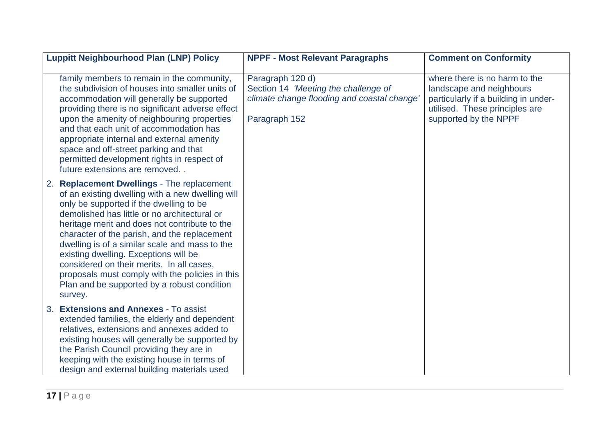|    | <b>Luppitt Neighbourhood Plan (LNP) Policy</b>                                                                                                                                                                                                                                                                                                                                                                                                                                                                                                      | <b>NPPF - Most Relevant Paragraphs</b>                                                                                   | <b>Comment on Conformity</b>                                                                                                                                 |
|----|-----------------------------------------------------------------------------------------------------------------------------------------------------------------------------------------------------------------------------------------------------------------------------------------------------------------------------------------------------------------------------------------------------------------------------------------------------------------------------------------------------------------------------------------------------|--------------------------------------------------------------------------------------------------------------------------|--------------------------------------------------------------------------------------------------------------------------------------------------------------|
|    | family members to remain in the community,<br>the subdivision of houses into smaller units of<br>accommodation will generally be supported<br>providing there is no significant adverse effect<br>upon the amenity of neighbouring properties<br>and that each unit of accommodation has<br>appropriate internal and external amenity<br>space and off-street parking and that<br>permitted development rights in respect of<br>future extensions are removed                                                                                       | Paragraph 120 d)<br>Section 14 'Meeting the challenge of<br>climate change flooding and coastal change'<br>Paragraph 152 | where there is no harm to the<br>landscape and neighbours<br>particularly if a building in under-<br>utilised. These principles are<br>supported by the NPPF |
| 2. | <b>Replacement Dwellings - The replacement</b><br>of an existing dwelling with a new dwelling will<br>only be supported if the dwelling to be<br>demolished has little or no architectural or<br>heritage merit and does not contribute to the<br>character of the parish, and the replacement<br>dwelling is of a similar scale and mass to the<br>existing dwelling. Exceptions will be<br>considered on their merits. In all cases,<br>proposals must comply with the policies in this<br>Plan and be supported by a robust condition<br>survey. |                                                                                                                          |                                                                                                                                                              |
| 3. | <b>Extensions and Annexes - To assist</b><br>extended families, the elderly and dependent<br>relatives, extensions and annexes added to<br>existing houses will generally be supported by<br>the Parish Council providing they are in<br>keeping with the existing house in terms of<br>design and external building materials used                                                                                                                                                                                                                 |                                                                                                                          |                                                                                                                                                              |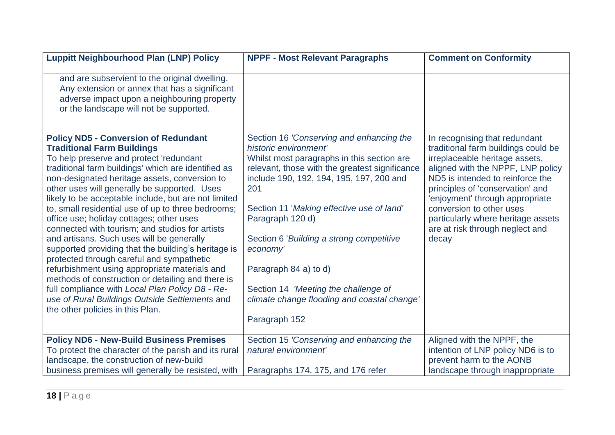| <b>Luppitt Neighbourhood Plan (LNP) Policy</b>                                                                                                                                                                                                                                                                                                                                                                                                                                                                                                                                                                                                                                                                                                                                                                                                                                                   | <b>NPPF - Most Relevant Paragraphs</b>                                                                                                                                                                                                                                                                                                                                                                                                                                         | <b>Comment on Conformity</b>                                                                                                                                                                                                                                                                                                                                        |
|--------------------------------------------------------------------------------------------------------------------------------------------------------------------------------------------------------------------------------------------------------------------------------------------------------------------------------------------------------------------------------------------------------------------------------------------------------------------------------------------------------------------------------------------------------------------------------------------------------------------------------------------------------------------------------------------------------------------------------------------------------------------------------------------------------------------------------------------------------------------------------------------------|--------------------------------------------------------------------------------------------------------------------------------------------------------------------------------------------------------------------------------------------------------------------------------------------------------------------------------------------------------------------------------------------------------------------------------------------------------------------------------|---------------------------------------------------------------------------------------------------------------------------------------------------------------------------------------------------------------------------------------------------------------------------------------------------------------------------------------------------------------------|
| and are subservient to the original dwelling.<br>Any extension or annex that has a significant<br>adverse impact upon a neighbouring property<br>or the landscape will not be supported.                                                                                                                                                                                                                                                                                                                                                                                                                                                                                                                                                                                                                                                                                                         |                                                                                                                                                                                                                                                                                                                                                                                                                                                                                |                                                                                                                                                                                                                                                                                                                                                                     |
| <b>Policy ND5 - Conversion of Redundant</b><br><b>Traditional Farm Buildings</b><br>To help preserve and protect 'redundant<br>traditional farm buildings' which are identified as<br>non-designated heritage assets, conversion to<br>other uses will generally be supported. Uses<br>likely to be acceptable include, but are not limited<br>to, small residential use of up to three bedrooms;<br>office use; holiday cottages; other uses<br>connected with tourism; and studios for artists<br>and artisans. Such uses will be generally<br>supported providing that the building's heritage is<br>protected through careful and sympathetic<br>refurbishment using appropriate materials and<br>methods of construction or detailing and there is<br>full compliance with Local Plan Policy D8 - Re-<br>use of Rural Buildings Outside Settlements and<br>the other policies in this Plan. | Section 16 'Conserving and enhancing the<br>historic environment'<br>Whilst most paragraphs in this section are<br>relevant, those with the greatest significance<br>include 190, 192, 194, 195, 197, 200 and<br>201<br>Section 11 'Making effective use of land'<br>Paragraph 120 d)<br>Section 6 'Building a strong competitive<br>economy'<br>Paragraph 84 a) to d)<br>Section 14 'Meeting the challenge of<br>climate change flooding and coastal change'<br>Paragraph 152 | In recognising that redundant<br>traditional farm buildings could be<br>irreplaceable heritage assets,<br>aligned with the NPPF, LNP policy<br>ND5 is intended to reinforce the<br>principles of 'conservation' and<br>enjoyment' through appropriate<br>conversion to other uses<br>particularly where heritage assets<br>are at risk through neglect and<br>decay |
| <b>Policy ND6 - New-Build Business Premises</b><br>To protect the character of the parish and its rural                                                                                                                                                                                                                                                                                                                                                                                                                                                                                                                                                                                                                                                                                                                                                                                          | Section 15 'Conserving and enhancing the<br>natural environment'                                                                                                                                                                                                                                                                                                                                                                                                               | Aligned with the NPPF, the<br>intention of LNP policy ND6 is to                                                                                                                                                                                                                                                                                                     |
| landscape, the construction of new-build<br>business premises will generally be resisted, with                                                                                                                                                                                                                                                                                                                                                                                                                                                                                                                                                                                                                                                                                                                                                                                                   | Paragraphs 174, 175, and 176 refer                                                                                                                                                                                                                                                                                                                                                                                                                                             | prevent harm to the AONB<br>landscape through inappropriate                                                                                                                                                                                                                                                                                                         |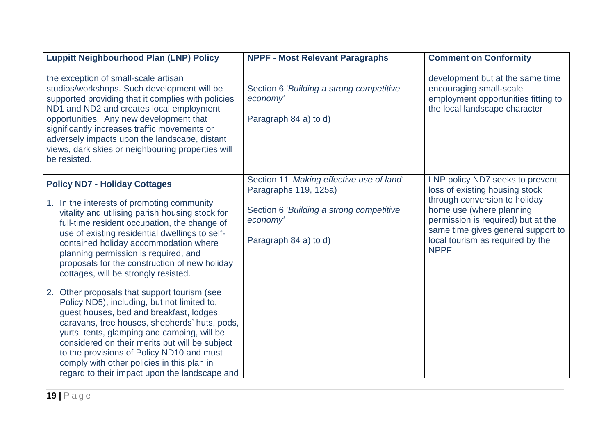| <b>Luppitt Neighbourhood Plan (LNP) Policy</b>                                                                                                                                                                                                                                                                                                                                                                                           | <b>NPPF - Most Relevant Paragraphs</b>                                                                         | <b>Comment on Conformity</b>                                                                                                        |
|------------------------------------------------------------------------------------------------------------------------------------------------------------------------------------------------------------------------------------------------------------------------------------------------------------------------------------------------------------------------------------------------------------------------------------------|----------------------------------------------------------------------------------------------------------------|-------------------------------------------------------------------------------------------------------------------------------------|
| the exception of small-scale artisan<br>studios/workshops. Such development will be<br>supported providing that it complies with policies<br>ND1 and ND2 and creates local employment<br>opportunities. Any new development that<br>significantly increases traffic movements or<br>adversely impacts upon the landscape, distant<br>views, dark skies or neighbouring properties will<br>be resisted.                                   | Section 6 'Building a strong competitive<br>economy'<br>Paragraph 84 a) to d)                                  | development but at the same time<br>encouraging small-scale<br>employment opportunities fitting to<br>the local landscape character |
| <b>Policy ND7 - Holiday Cottages</b><br>1. In the interests of promoting community<br>vitality and utilising parish housing stock for                                                                                                                                                                                                                                                                                                    | Section 11 'Making effective use of land'<br>Paragraphs 119, 125a)<br>Section 6 'Building a strong competitive | LNP policy ND7 seeks to prevent<br>loss of existing housing stock<br>through conversion to holiday<br>home use (where planning      |
| full-time resident occupation, the change of<br>use of existing residential dwellings to self-<br>contained holiday accommodation where<br>planning permission is required, and<br>proposals for the construction of new holiday<br>cottages, will be strongly resisted.                                                                                                                                                                 | economy'<br>Paragraph 84 a) to d)                                                                              | permission is required) but at the<br>same time gives general support to<br>local tourism as required by the<br><b>NPPF</b>         |
| Other proposals that support tourism (see<br>2.<br>Policy ND5), including, but not limited to,<br>guest houses, bed and breakfast, lodges,<br>caravans, tree houses, shepherds' huts, pods,<br>yurts, tents, glamping and camping, will be<br>considered on their merits but will be subject<br>to the provisions of Policy ND10 and must<br>comply with other policies in this plan in<br>regard to their impact upon the landscape and |                                                                                                                |                                                                                                                                     |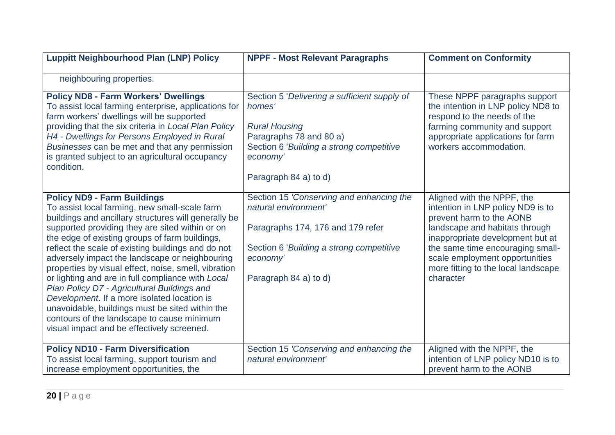| <b>Luppitt Neighbourhood Plan (LNP) Policy</b>                                                                                                                                                                                                                                                                                                                                                                                                                                                                                                                                                                                                                                                                     | <b>NPPF - Most Relevant Paragraphs</b>                                                                                                                                                     | <b>Comment on Conformity</b>                                                                                                                                                                                                                                                                |
|--------------------------------------------------------------------------------------------------------------------------------------------------------------------------------------------------------------------------------------------------------------------------------------------------------------------------------------------------------------------------------------------------------------------------------------------------------------------------------------------------------------------------------------------------------------------------------------------------------------------------------------------------------------------------------------------------------------------|--------------------------------------------------------------------------------------------------------------------------------------------------------------------------------------------|---------------------------------------------------------------------------------------------------------------------------------------------------------------------------------------------------------------------------------------------------------------------------------------------|
| neighbouring properties.                                                                                                                                                                                                                                                                                                                                                                                                                                                                                                                                                                                                                                                                                           |                                                                                                                                                                                            |                                                                                                                                                                                                                                                                                             |
| <b>Policy ND8 - Farm Workers' Dwellings</b><br>To assist local farming enterprise, applications for<br>farm workers' dwellings will be supported<br>providing that the six criteria in Local Plan Policy<br>H4 - Dwellings for Persons Employed in Rural<br>Businesses can be met and that any permission<br>is granted subject to an agricultural occupancy<br>condition.                                                                                                                                                                                                                                                                                                                                         | Section 5 'Delivering a sufficient supply of<br>homes'<br><b>Rural Housing</b><br>Paragraphs 78 and 80 a)<br>Section 6 'Building a strong competitive<br>economy'<br>Paragraph 84 a) to d) | These NPPF paragraphs support<br>the intention in LNP policy ND8 to<br>respond to the needs of the<br>farming community and support<br>appropriate applications for farm<br>workers accommodation.                                                                                          |
| <b>Policy ND9 - Farm Buildings</b><br>To assist local farming, new small-scale farm<br>buildings and ancillary structures will generally be<br>supported providing they are sited within or on<br>the edge of existing groups of farm buildings,<br>reflect the scale of existing buildings and do not<br>adversely impact the landscape or neighbouring<br>properties by visual effect, noise, smell, vibration<br>or lighting and are in full compliance with Local<br>Plan Policy D7 - Agricultural Buildings and<br>Development. If a more isolated location is<br>unavoidable, buildings must be sited within the<br>contours of the landscape to cause minimum<br>visual impact and be effectively screened. | Section 15 'Conserving and enhancing the<br>natural environment'<br>Paragraphs 174, 176 and 179 refer<br>Section 6 'Building a strong competitive<br>economy'<br>Paragraph 84 a) to d)     | Aligned with the NPPF, the<br>intention in LNP policy ND9 is to<br>prevent harm to the AONB<br>landscape and habitats through<br>inappropriate development but at<br>the same time encouraging small-<br>scale employment opportunities<br>more fitting to the local landscape<br>character |
| <b>Policy ND10 - Farm Diversification</b><br>To assist local farming, support tourism and<br>increase employment opportunities, the                                                                                                                                                                                                                                                                                                                                                                                                                                                                                                                                                                                | Section 15 'Conserving and enhancing the<br>natural environment'                                                                                                                           | Aligned with the NPPF, the<br>intention of LNP policy ND10 is to<br>prevent harm to the AONB                                                                                                                                                                                                |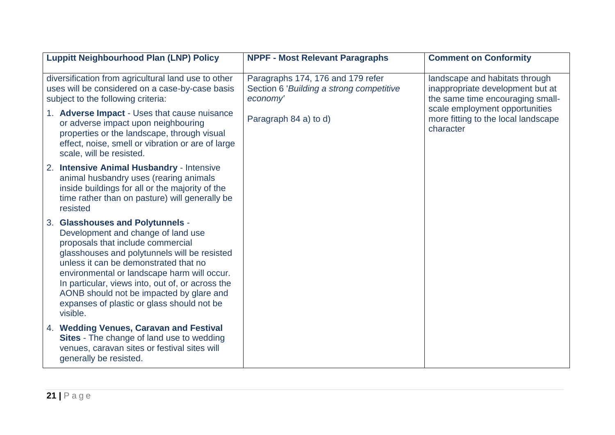| <b>Luppitt Neighbourhood Plan (LNP) Policy</b>                                                                                                                                                                                                                                                                                                                                                                | <b>NPPF - Most Relevant Paragraphs</b>                                                    | <b>Comment on Conformity</b>                                                                           |
|---------------------------------------------------------------------------------------------------------------------------------------------------------------------------------------------------------------------------------------------------------------------------------------------------------------------------------------------------------------------------------------------------------------|-------------------------------------------------------------------------------------------|--------------------------------------------------------------------------------------------------------|
| diversification from agricultural land use to other<br>uses will be considered on a case-by-case basis<br>subject to the following criteria:                                                                                                                                                                                                                                                                  | Paragraphs 174, 176 and 179 refer<br>Section 6 'Building a strong competitive<br>economy' | landscape and habitats through<br>inappropriate development but at<br>the same time encouraging small- |
| 1. Adverse Impact - Uses that cause nuisance<br>or adverse impact upon neighbouring<br>properties or the landscape, through visual<br>effect, noise, smell or vibration or are of large<br>scale, will be resisted.                                                                                                                                                                                           | Paragraph 84 a) to d)                                                                     | scale employment opportunities<br>more fitting to the local landscape<br>character                     |
| 2. Intensive Animal Husbandry - Intensive<br>animal husbandry uses (rearing animals<br>inside buildings for all or the majority of the<br>time rather than on pasture) will generally be<br>resisted                                                                                                                                                                                                          |                                                                                           |                                                                                                        |
| 3. Glasshouses and Polytunnels -<br>Development and change of land use<br>proposals that include commercial<br>glasshouses and polytunnels will be resisted<br>unless it can be demonstrated that no<br>environmental or landscape harm will occur.<br>In particular, views into, out of, or across the<br>AONB should not be impacted by glare and<br>expanses of plastic or glass should not be<br>visible. |                                                                                           |                                                                                                        |
| 4. Wedding Venues, Caravan and Festival<br>Sites - The change of land use to wedding<br>venues, caravan sites or festival sites will<br>generally be resisted.                                                                                                                                                                                                                                                |                                                                                           |                                                                                                        |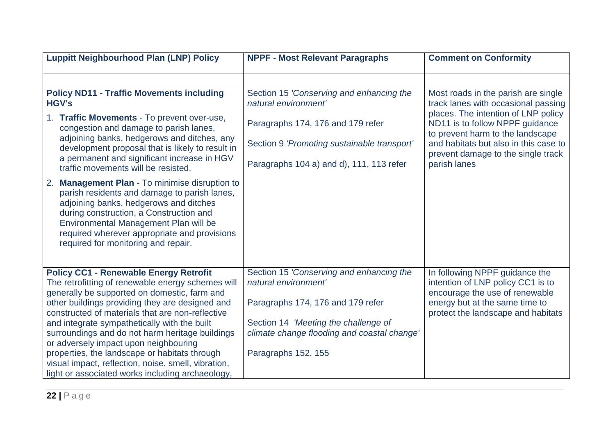| <b>Luppitt Neighbourhood Plan (LNP) Policy</b>                                                                                                                                                                                                                                                                                | <b>NPPF - Most Relevant Paragraphs</b>                                                                                                               | <b>Comment on Conformity</b>                                                                                                                                                                                                      |
|-------------------------------------------------------------------------------------------------------------------------------------------------------------------------------------------------------------------------------------------------------------------------------------------------------------------------------|------------------------------------------------------------------------------------------------------------------------------------------------------|-----------------------------------------------------------------------------------------------------------------------------------------------------------------------------------------------------------------------------------|
|                                                                                                                                                                                                                                                                                                                               |                                                                                                                                                      |                                                                                                                                                                                                                                   |
| <b>Policy ND11 - Traffic Movements including</b><br><b>HGV's</b><br><b>Traffic Movements - To prevent over-use,</b><br>1.<br>congestion and damage to parish lanes,<br>adjoining banks, hedgerows and ditches, any<br>development proposal that is likely to result in                                                        | Section 15 'Conserving and enhancing the<br>natural environment'<br>Paragraphs 174, 176 and 179 refer<br>Section 9 'Promoting sustainable transport' | Most roads in the parish are single<br>track lanes with occasional passing<br>places. The intention of LNP policy<br>ND11 is to follow NPPF guidance<br>to prevent harm to the landscape<br>and habitats but also in this case to |
| a permanent and significant increase in HGV<br>traffic movements will be resisted.                                                                                                                                                                                                                                            | Paragraphs 104 a) and d), 111, 113 refer                                                                                                             | prevent damage to the single track<br>parish lanes                                                                                                                                                                                |
| <b>Management Plan - To minimise disruption to</b><br>2.<br>parish residents and damage to parish lanes,<br>adjoining banks, hedgerows and ditches<br>during construction, a Construction and<br>Environmental Management Plan will be<br>required wherever appropriate and provisions<br>required for monitoring and repair. |                                                                                                                                                      |                                                                                                                                                                                                                                   |
| <b>Policy CC1 - Renewable Energy Retrofit</b><br>The retrofitting of renewable energy schemes will<br>generally be supported on domestic, farm and                                                                                                                                                                            | Section 15 'Conserving and enhancing the<br>natural environment'                                                                                     | In following NPPF guidance the<br>intention of LNP policy CC1 is to                                                                                                                                                               |
| other buildings providing they are designed and<br>constructed of materials that are non-reflective<br>and integrate sympathetically with the built<br>surroundings and do not harm heritage buildings<br>or adversely impact upon neighbouring<br>properties, the landscape or habitats through                              | Paragraphs 174, 176 and 179 refer<br>Section 14 'Meeting the challenge of<br>climate change flooding and coastal change'<br>Paragraphs 152, 155      | encourage the use of renewable<br>energy but at the same time to<br>protect the landscape and habitats                                                                                                                            |
| visual impact, reflection, noise, smell, vibration,<br>light or associated works including archaeology,                                                                                                                                                                                                                       |                                                                                                                                                      |                                                                                                                                                                                                                                   |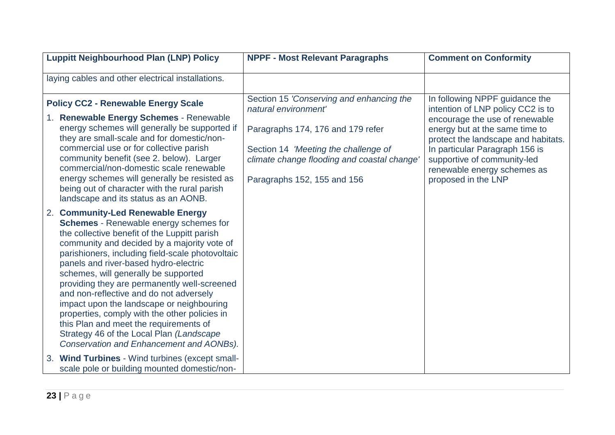| <b>Luppitt Neighbourhood Plan (LNP) Policy</b>                                                                                                                                                                                                                                                                                                                                                                                                                                                                                                                                                                                                           | <b>NPPF - Most Relevant Paragraphs</b>                                                                                                                                                                                      | <b>Comment on Conformity</b>                                                                                                                                                                                                                                                                          |
|----------------------------------------------------------------------------------------------------------------------------------------------------------------------------------------------------------------------------------------------------------------------------------------------------------------------------------------------------------------------------------------------------------------------------------------------------------------------------------------------------------------------------------------------------------------------------------------------------------------------------------------------------------|-----------------------------------------------------------------------------------------------------------------------------------------------------------------------------------------------------------------------------|-------------------------------------------------------------------------------------------------------------------------------------------------------------------------------------------------------------------------------------------------------------------------------------------------------|
| laying cables and other electrical installations.                                                                                                                                                                                                                                                                                                                                                                                                                                                                                                                                                                                                        |                                                                                                                                                                                                                             |                                                                                                                                                                                                                                                                                                       |
| <b>Policy CC2 - Renewable Energy Scale</b><br>1. Renewable Energy Schemes - Renewable<br>energy schemes will generally be supported if<br>they are small-scale and for domestic/non-<br>commercial use or for collective parish<br>community benefit (see 2. below). Larger<br>commercial/non-domestic scale renewable<br>energy schemes will generally be resisted as<br>being out of character with the rural parish<br>landscape and its status as an AONB.                                                                                                                                                                                           | Section 15 'Conserving and enhancing the<br>natural environment'<br>Paragraphs 174, 176 and 179 refer<br>Section 14 'Meeting the challenge of<br>climate change flooding and coastal change'<br>Paragraphs 152, 155 and 156 | In following NPPF guidance the<br>intention of LNP policy CC2 is to<br>encourage the use of renewable<br>energy but at the same time to<br>protect the landscape and habitats.<br>In particular Paragraph 156 is<br>supportive of community-led<br>renewable energy schemes as<br>proposed in the LNP |
| 2. Community-Led Renewable Energy<br><b>Schemes</b> - Renewable energy schemes for<br>the collective benefit of the Luppitt parish<br>community and decided by a majority vote of<br>parishioners, including field-scale photovoltaic<br>panels and river-based hydro-electric<br>schemes, will generally be supported<br>providing they are permanently well-screened<br>and non-reflective and do not adversely<br>impact upon the landscape or neighbouring<br>properties, comply with the other policies in<br>this Plan and meet the requirements of<br>Strategy 46 of the Local Plan (Landscape<br><b>Conservation and Enhancement and AONBs).</b> |                                                                                                                                                                                                                             |                                                                                                                                                                                                                                                                                                       |
| 3. Wind Turbines - Wind turbines (except small-<br>scale pole or building mounted domestic/non-                                                                                                                                                                                                                                                                                                                                                                                                                                                                                                                                                          |                                                                                                                                                                                                                             |                                                                                                                                                                                                                                                                                                       |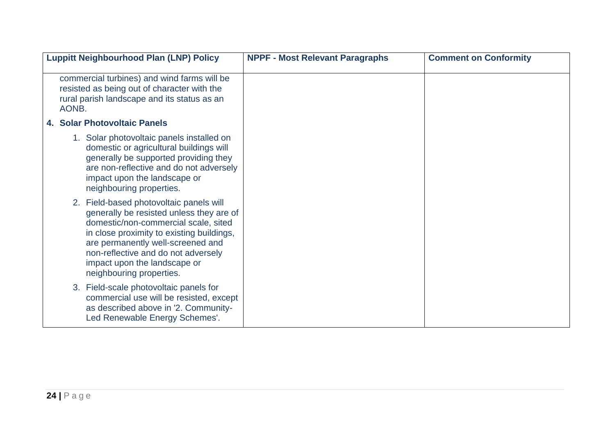| <b>Luppitt Neighbourhood Plan (LNP) Policy</b>                                                                                                                                                                                                                                                                   | <b>NPPF - Most Relevant Paragraphs</b> | <b>Comment on Conformity</b> |
|------------------------------------------------------------------------------------------------------------------------------------------------------------------------------------------------------------------------------------------------------------------------------------------------------------------|----------------------------------------|------------------------------|
| commercial turbines) and wind farms will be<br>resisted as being out of character with the<br>rural parish landscape and its status as an<br>AONB.                                                                                                                                                               |                                        |                              |
| 4. Solar Photovoltaic Panels                                                                                                                                                                                                                                                                                     |                                        |                              |
| 1. Solar photovoltaic panels installed on<br>domestic or agricultural buildings will<br>generally be supported providing they<br>are non-reflective and do not adversely<br>impact upon the landscape or<br>neighbouring properties.                                                                             |                                        |                              |
| 2. Field-based photovoltaic panels will<br>generally be resisted unless they are of<br>domestic/non-commercial scale, sited<br>in close proximity to existing buildings,<br>are permanently well-screened and<br>non-reflective and do not adversely<br>impact upon the landscape or<br>neighbouring properties. |                                        |                              |
| 3. Field-scale photovoltaic panels for<br>commercial use will be resisted, except<br>as described above in '2. Community-<br>Led Renewable Energy Schemes'.                                                                                                                                                      |                                        |                              |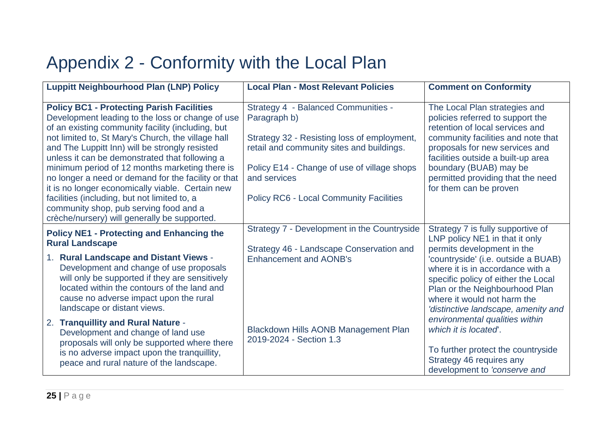#### Appendix 2 - Conformity with the Local Plan

| <b>Luppitt Neighbourhood Plan (LNP) Policy</b>                                                                                                                                                                                                                                                                                                                                                                                                                                                                                                                                                                             | <b>Local Plan - Most Relevant Policies</b>                                                                                                                                                                                                                              | <b>Comment on Conformity</b>                                                                                                                                                                                                                                                                                                |
|----------------------------------------------------------------------------------------------------------------------------------------------------------------------------------------------------------------------------------------------------------------------------------------------------------------------------------------------------------------------------------------------------------------------------------------------------------------------------------------------------------------------------------------------------------------------------------------------------------------------------|-------------------------------------------------------------------------------------------------------------------------------------------------------------------------------------------------------------------------------------------------------------------------|-----------------------------------------------------------------------------------------------------------------------------------------------------------------------------------------------------------------------------------------------------------------------------------------------------------------------------|
| <b>Policy BC1 - Protecting Parish Facilities</b><br>Development leading to the loss or change of use<br>of an existing community facility (including, but<br>not limited to, St Mary's Church, the village hall<br>and The Luppitt Inn) will be strongly resisted<br>unless it can be demonstrated that following a<br>minimum period of 12 months marketing there is<br>no longer a need or demand for the facility or that<br>it is no longer economically viable. Certain new<br>facilities (including, but not limited to, a<br>community shop, pub serving food and a<br>crèche/nursery) will generally be supported. | <b>Strategy 4 - Balanced Communities -</b><br>Paragraph b)<br>Strategy 32 - Resisting loss of employment,<br>retail and community sites and buildings.<br>Policy E14 - Change of use of village shops<br>and services<br><b>Policy RC6 - Local Community Facilities</b> | The Local Plan strategies and<br>policies referred to support the<br>retention of local services and<br>community facilities and note that<br>proposals for new services and<br>facilities outside a built-up area<br>boundary (BUAB) may be<br>permitted providing that the need<br>for them can be proven                 |
| <b>Policy NE1 - Protecting and Enhancing the</b><br><b>Rural Landscape</b><br>1. Rural Landscape and Distant Views -<br>Development and change of use proposals<br>will only be supported if they are sensitively<br>located within the contours of the land and<br>cause no adverse impact upon the rural<br>landscape or distant views.                                                                                                                                                                                                                                                                                  | Strategy 7 - Development in the Countryside<br>Strategy 46 - Landscape Conservation and<br><b>Enhancement and AONB's</b>                                                                                                                                                | Strategy 7 is fully supportive of<br>LNP policy NE1 in that it only<br>permits development in the<br>'countryside' (i.e. outside a BUAB)<br>where it is in accordance with a<br>specific policy of either the Local<br>Plan or the Neighbourhood Plan<br>where it would not harm the<br>'distinctive landscape, amenity and |
| 2. Tranquillity and Rural Nature -<br>Development and change of land use<br>proposals will only be supported where there<br>is no adverse impact upon the tranquillity,<br>peace and rural nature of the landscape.                                                                                                                                                                                                                                                                                                                                                                                                        | Blackdown Hills AONB Management Plan<br>2019-2024 - Section 1.3                                                                                                                                                                                                         | environmental qualities within<br>which it is located.<br>To further protect the countryside<br>Strategy 46 requires any<br>development to 'conserve and                                                                                                                                                                    |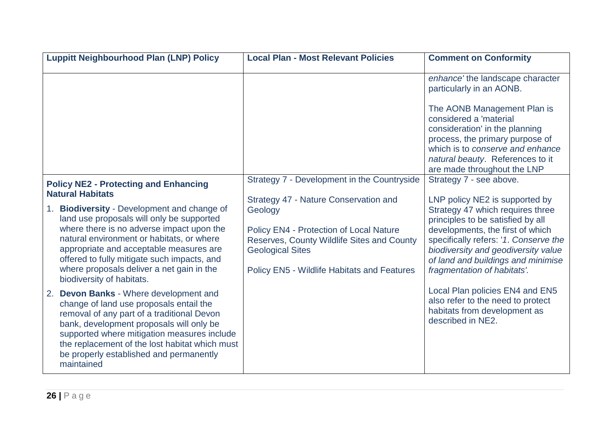| <b>Luppitt Neighbourhood Plan (LNP) Policy</b>                                                                                                                                                                                                                                                                                                                                              | <b>Local Plan - Most Relevant Policies</b>                                                                                                                                                                                        | <b>Comment on Conformity</b>                                                                                                                                                                                                                                                                     |
|---------------------------------------------------------------------------------------------------------------------------------------------------------------------------------------------------------------------------------------------------------------------------------------------------------------------------------------------------------------------------------------------|-----------------------------------------------------------------------------------------------------------------------------------------------------------------------------------------------------------------------------------|--------------------------------------------------------------------------------------------------------------------------------------------------------------------------------------------------------------------------------------------------------------------------------------------------|
|                                                                                                                                                                                                                                                                                                                                                                                             |                                                                                                                                                                                                                                   | enhance' the landscape character<br>particularly in an AONB.                                                                                                                                                                                                                                     |
|                                                                                                                                                                                                                                                                                                                                                                                             |                                                                                                                                                                                                                                   | The AONB Management Plan is<br>considered a 'material<br>consideration' in the planning<br>process, the primary purpose of<br>which is to conserve and enhance<br>natural beauty. References to it<br>are made throughout the LNP                                                                |
| <b>Policy NE2 - Protecting and Enhancing</b>                                                                                                                                                                                                                                                                                                                                                | Strategy 7 - Development in the Countryside                                                                                                                                                                                       | Strategy 7 - see above.                                                                                                                                                                                                                                                                          |
| <b>Natural Habitats</b><br><b>Biodiversity - Development and change of</b><br>1.<br>land use proposals will only be supported<br>where there is no adverse impact upon the<br>natural environment or habitats, or where<br>appropriate and acceptable measures are<br>offered to fully mitigate such impacts, and<br>where proposals deliver a net gain in the<br>biodiversity of habitats. | Strategy 47 - Nature Conservation and<br>Geology<br><b>Policy EN4 - Protection of Local Nature</b><br>Reserves, County Wildlife Sites and County<br><b>Geological Sites</b><br><b>Policy EN5 - Wildlife Habitats and Features</b> | LNP policy NE2 is supported by<br>Strategy 47 which requires three<br>principles to be satisfied by all<br>developments, the first of which<br>specifically refers: '1. Conserve the<br>biodiversity and geodiversity value<br>of land and buildings and minimise<br>fragmentation of habitats'. |
| <b>Devon Banks - Where development and</b><br>2.<br>change of land use proposals entail the<br>removal of any part of a traditional Devon<br>bank, development proposals will only be<br>supported where mitigation measures include<br>the replacement of the lost habitat which must<br>be properly established and permanently<br>maintained                                             |                                                                                                                                                                                                                                   | Local Plan policies EN4 and EN5<br>also refer to the need to protect<br>habitats from development as<br>described in NE2.                                                                                                                                                                        |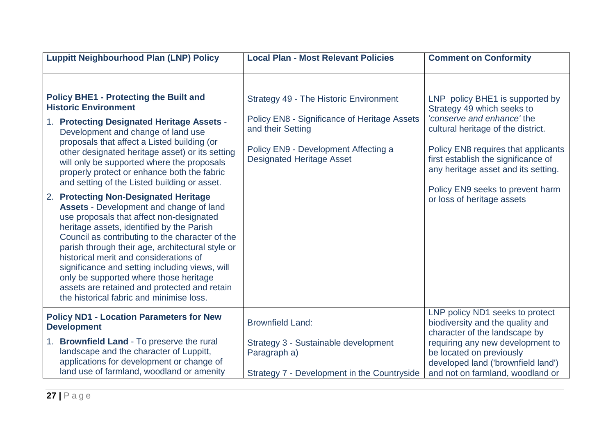| <b>Luppitt Neighbourhood Plan (LNP) Policy</b>                                                                                                                                                                                                                                                                                                                                                                                                                                                                                                                                                      | <b>Local Plan - Most Relevant Policies</b>                                                                                                                                                     | <b>Comment on Conformity</b>                                                                                                                                                                                                                                                                                             |
|-----------------------------------------------------------------------------------------------------------------------------------------------------------------------------------------------------------------------------------------------------------------------------------------------------------------------------------------------------------------------------------------------------------------------------------------------------------------------------------------------------------------------------------------------------------------------------------------------------|------------------------------------------------------------------------------------------------------------------------------------------------------------------------------------------------|--------------------------------------------------------------------------------------------------------------------------------------------------------------------------------------------------------------------------------------------------------------------------------------------------------------------------|
| <b>Policy BHE1 - Protecting the Built and</b><br><b>Historic Environment</b><br>1. Protecting Designated Heritage Assets -<br>Development and change of land use<br>proposals that affect a Listed building (or<br>other designated heritage asset) or its setting<br>will only be supported where the proposals<br>properly protect or enhance both the fabric<br>and setting of the Listed building or asset.<br>2. Protecting Non-Designated Heritage<br><b>Assets - Development and change of land</b><br>use proposals that affect non-designated<br>heritage assets, identified by the Parish | <b>Strategy 49 - The Historic Environment</b><br>Policy EN8 - Significance of Heritage Assets<br>and their Setting<br>Policy EN9 - Development Affecting a<br><b>Designated Heritage Asset</b> | LNP policy BHE1 is supported by<br>Strategy 49 which seeks to<br>'conserve and enhance' the<br>cultural heritage of the district.<br>Policy EN8 requires that applicants<br>first establish the significance of<br>any heritage asset and its setting.<br>Policy EN9 seeks to prevent harm<br>or loss of heritage assets |
| Council as contributing to the character of the<br>parish through their age, architectural style or<br>historical merit and considerations of<br>significance and setting including views, will<br>only be supported where those heritage<br>assets are retained and protected and retain<br>the historical fabric and minimise loss.                                                                                                                                                                                                                                                               |                                                                                                                                                                                                |                                                                                                                                                                                                                                                                                                                          |
| <b>Policy ND1 - Location Parameters for New</b><br><b>Development</b>                                                                                                                                                                                                                                                                                                                                                                                                                                                                                                                               | <b>Brownfield Land:</b>                                                                                                                                                                        | LNP policy ND1 seeks to protect<br>biodiversity and the quality and<br>character of the landscape by                                                                                                                                                                                                                     |
| 1. Brownfield Land - To preserve the rural<br>landscape and the character of Luppitt,<br>applications for development or change of<br>land use of farmland, woodland or amenity                                                                                                                                                                                                                                                                                                                                                                                                                     | Strategy 3 - Sustainable development<br>Paragraph a)<br>Strategy 7 - Development in the Countryside                                                                                            | requiring any new development to<br>be located on previously<br>developed land ('brownfield land')<br>and not on farmland, woodland or                                                                                                                                                                                   |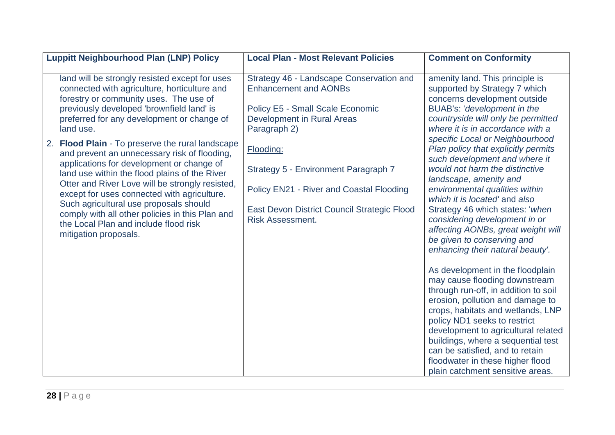| <b>Luppitt Neighbourhood Plan (LNP) Policy</b>                                                                                                                                                                                                                                                                                                                                                                                                                                                                                                                                                                                                                                                                                | <b>Local Plan - Most Relevant Policies</b>                                                                                                                                                                                                                                                                                                   | <b>Comment on Conformity</b>                                                                                                                                                                                                                                                                                                                                                                                                                                                                                                                                                                                                                                                                                                                                                                                                                                                                                                                                                                                                                  |
|-------------------------------------------------------------------------------------------------------------------------------------------------------------------------------------------------------------------------------------------------------------------------------------------------------------------------------------------------------------------------------------------------------------------------------------------------------------------------------------------------------------------------------------------------------------------------------------------------------------------------------------------------------------------------------------------------------------------------------|----------------------------------------------------------------------------------------------------------------------------------------------------------------------------------------------------------------------------------------------------------------------------------------------------------------------------------------------|-----------------------------------------------------------------------------------------------------------------------------------------------------------------------------------------------------------------------------------------------------------------------------------------------------------------------------------------------------------------------------------------------------------------------------------------------------------------------------------------------------------------------------------------------------------------------------------------------------------------------------------------------------------------------------------------------------------------------------------------------------------------------------------------------------------------------------------------------------------------------------------------------------------------------------------------------------------------------------------------------------------------------------------------------|
| land will be strongly resisted except for uses<br>connected with agriculture, horticulture and<br>forestry or community uses. The use of<br>previously developed 'brownfield land' is<br>preferred for any development or change of<br>land use.<br><b>Flood Plain - To preserve the rural landscape</b><br>2.<br>and prevent an unnecessary risk of flooding,<br>applications for development or change of<br>land use within the flood plains of the River<br>Otter and River Love will be strongly resisted,<br>except for uses connected with agriculture.<br>Such agricultural use proposals should<br>comply with all other policies in this Plan and<br>the Local Plan and include flood risk<br>mitigation proposals. | Strategy 46 - Landscape Conservation and<br><b>Enhancement and AONBs</b><br><b>Policy E5 - Small Scale Economic</b><br>Development in Rural Areas<br>Paragraph 2)<br>Flooding:<br>Strategy 5 - Environment Paragraph 7<br>Policy EN21 - River and Coastal Flooding<br>East Devon District Council Strategic Flood<br><b>Risk Assessment.</b> | amenity land. This principle is<br>supported by Strategy 7 which<br>concerns development outside<br>BUAB's: 'development in the<br>countryside will only be permitted<br>where it is in accordance with a<br>specific Local or Neighbourhood<br>Plan policy that explicitly permits<br>such development and where it<br>would not harm the distinctive<br>landscape, amenity and<br>environmental qualities within<br>which it is located' and also<br>Strategy 46 which states: 'when<br>considering development in or<br>affecting AONBs, great weight will<br>be given to conserving and<br>enhancing their natural beauty'.<br>As development in the floodplain<br>may cause flooding downstream<br>through run-off, in addition to soil<br>erosion, pollution and damage to<br>crops, habitats and wetlands, LNP<br>policy ND1 seeks to restrict<br>development to agricultural related<br>buildings, where a sequential test<br>can be satisfied, and to retain<br>floodwater in these higher flood<br>plain catchment sensitive areas. |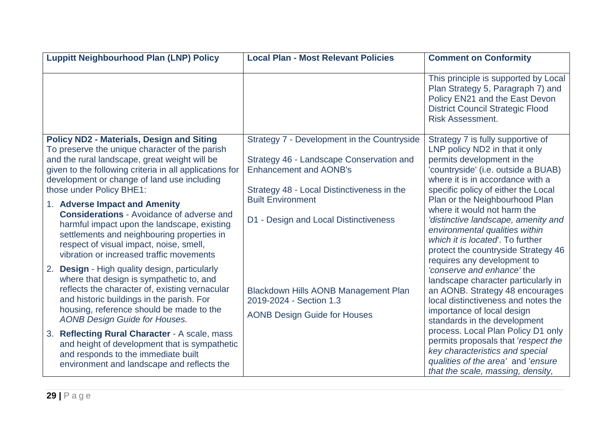| <b>Luppitt Neighbourhood Plan (LNP) Policy</b>                                                                                                                                                                                                                                            | <b>Local Plan - Most Relevant Policies</b>                                                                                                                             | <b>Comment on Conformity</b>                                                                                                                                                                                                                    |
|-------------------------------------------------------------------------------------------------------------------------------------------------------------------------------------------------------------------------------------------------------------------------------------------|------------------------------------------------------------------------------------------------------------------------------------------------------------------------|-------------------------------------------------------------------------------------------------------------------------------------------------------------------------------------------------------------------------------------------------|
|                                                                                                                                                                                                                                                                                           |                                                                                                                                                                        | This principle is supported by Local<br>Plan Strategy 5, Paragraph 7) and<br>Policy EN21 and the East Devon<br><b>District Council Strategic Flood</b><br><b>Risk Assessment.</b>                                                               |
| <b>Policy ND2 - Materials, Design and Siting</b><br>To preserve the unique character of the parish<br>and the rural landscape, great weight will be<br>given to the following criteria in all applications for<br>development or change of land use including<br>those under Policy BHE1: | Strategy 7 - Development in the Countryside<br>Strategy 46 - Landscape Conservation and<br><b>Enhancement and AONB's</b><br>Strategy 48 - Local Distinctiveness in the | Strategy 7 is fully supportive of<br>LNP policy ND2 in that it only<br>permits development in the<br>'countryside' (i.e. outside a BUAB)<br>where it is in accordance with a<br>specific policy of either the Local                             |
| 1. Adverse Impact and Amenity<br><b>Considerations - Avoidance of adverse and</b><br>harmful impact upon the landscape, existing<br>settlements and neighbouring properties in<br>respect of visual impact, noise, smell,<br>vibration or increased traffic movements                     | <b>Built Environment</b><br>D1 - Design and Local Distinctiveness                                                                                                      | Plan or the Neighbourhood Plan<br>where it would not harm the<br>'distinctive landscape, amenity and<br>environmental qualities within<br>which it is located. To further<br>protect the countryside Strategy 46<br>requires any development to |
| 2. Design - High quality design, particularly<br>where that design is sympathetic to, and<br>reflects the character of, existing vernacular<br>and historic buildings in the parish. For<br>housing, reference should be made to the<br><b>AONB Design Guide for Houses.</b>              | <b>Blackdown Hills AONB Management Plan</b><br>2019-2024 - Section 1.3<br><b>AONB Design Guide for Houses</b>                                                          | 'conserve and enhance' the<br>landscape character particularly in<br>an AONB. Strategy 48 encourages<br>local distinctiveness and notes the<br>importance of local design<br>standards in the development                                       |
| 3. Reflecting Rural Character - A scale, mass<br>and height of development that is sympathetic<br>and responds to the immediate built<br>environment and landscape and reflects the                                                                                                       |                                                                                                                                                                        | process. Local Plan Policy D1 only<br>permits proposals that 'respect the<br>key characteristics and special<br>qualities of the area' and 'ensure<br>that the scale, massing, density,                                                         |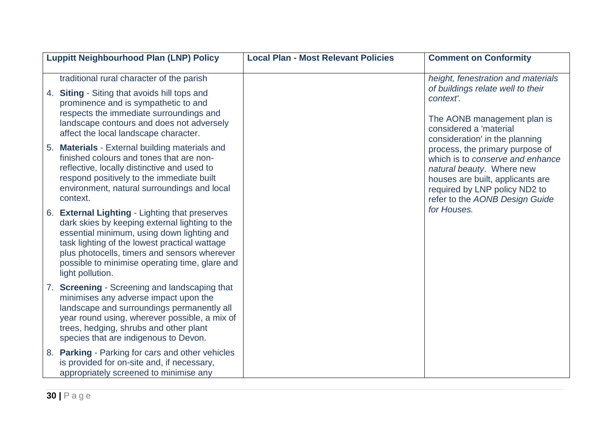| <b>Luppitt Neighbourhood Plan (LNP) Policy</b>                                                                                                                                                                                                                                                                        | <b>Local Plan - Most Relevant Policies</b> | <b>Comment on Conformity</b>                                                                                                                                                                            |
|-----------------------------------------------------------------------------------------------------------------------------------------------------------------------------------------------------------------------------------------------------------------------------------------------------------------------|--------------------------------------------|---------------------------------------------------------------------------------------------------------------------------------------------------------------------------------------------------------|
| traditional rural character of the parish<br><b>Siting - Siting that avoids hill tops and</b><br>4.<br>prominence and is sympathetic to and<br>respects the immediate surroundings and<br>landscape contours and does not adversely<br>affect the local landscape character.                                          |                                            | height, fenestration and materials<br>of buildings relate well to their<br>context'.<br>The AONB management plan is<br>considered a 'material<br>consideration' in the planning                         |
| 5. Materials - External building materials and<br>finished colours and tones that are non-<br>reflective, locally distinctive and used to<br>respond positively to the immediate built<br>environment, natural surroundings and local<br>context.                                                                     |                                            | process, the primary purpose of<br>which is to conserve and enhance<br>natural beauty. Where new<br>houses are built, applicants are<br>required by LNP policy ND2 to<br>refer to the AONB Design Guide |
| 6. External Lighting - Lighting that preserves<br>dark skies by keeping external lighting to the<br>essential minimum, using down lighting and<br>task lighting of the lowest practical wattage<br>plus photocells, timers and sensors wherever<br>possible to minimise operating time, glare and<br>light pollution. |                                            | for Houses.                                                                                                                                                                                             |
| 7. Screening - Screening and landscaping that<br>minimises any adverse impact upon the<br>landscape and surroundings permanently all<br>year round using, wherever possible, a mix of<br>trees, hedging, shrubs and other plant<br>species that are indigenous to Devon.                                              |                                            |                                                                                                                                                                                                         |
| 8. Parking - Parking for cars and other vehicles<br>is provided for on-site and, if necessary,<br>appropriately screened to minimise any                                                                                                                                                                              |                                            |                                                                                                                                                                                                         |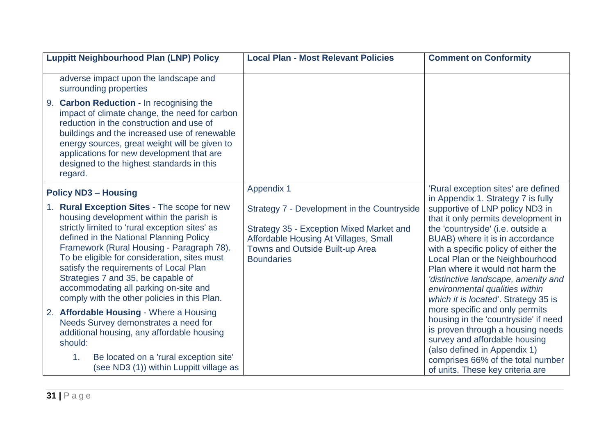| <b>Luppitt Neighbourhood Plan (LNP) Policy</b>                                                                                                                                                                                                                                                                                                                                                                                                              | <b>Local Plan - Most Relevant Policies</b>                                                                                                                                               | <b>Comment on Conformity</b>                                                                                                                                                                                                                                                                                                                                                  |
|-------------------------------------------------------------------------------------------------------------------------------------------------------------------------------------------------------------------------------------------------------------------------------------------------------------------------------------------------------------------------------------------------------------------------------------------------------------|------------------------------------------------------------------------------------------------------------------------------------------------------------------------------------------|-------------------------------------------------------------------------------------------------------------------------------------------------------------------------------------------------------------------------------------------------------------------------------------------------------------------------------------------------------------------------------|
| adverse impact upon the landscape and<br>surrounding properties<br>9. Carbon Reduction - In recognising the                                                                                                                                                                                                                                                                                                                                                 |                                                                                                                                                                                          |                                                                                                                                                                                                                                                                                                                                                                               |
| impact of climate change, the need for carbon<br>reduction in the construction and use of<br>buildings and the increased use of renewable<br>energy sources, great weight will be given to<br>applications for new development that are<br>designed to the highest standards in this<br>regard.                                                                                                                                                             |                                                                                                                                                                                          |                                                                                                                                                                                                                                                                                                                                                                               |
| <b>Policy ND3 - Housing</b>                                                                                                                                                                                                                                                                                                                                                                                                                                 | <b>Appendix 1</b>                                                                                                                                                                        | 'Rural exception sites' are defined<br>in Appendix 1. Strategy 7 is fully                                                                                                                                                                                                                                                                                                     |
| 1. Rural Exception Sites - The scope for new<br>housing development within the parish is<br>strictly limited to 'rural exception sites' as<br>defined in the National Planning Policy<br>Framework (Rural Housing - Paragraph 78).<br>To be eligible for consideration, sites must<br>satisfy the requirements of Local Plan<br>Strategies 7 and 35, be capable of<br>accommodating all parking on-site and<br>comply with the other policies in this Plan. | Strategy 7 - Development in the Countryside<br>Strategy 35 - Exception Mixed Market and<br>Affordable Housing At Villages, Small<br>Towns and Outside Built-up Area<br><b>Boundaries</b> | supportive of LNP policy ND3 in<br>that it only permits development in<br>the 'countryside' (i.e. outside a<br>BUAB) where it is in accordance<br>with a specific policy of either the<br>Local Plan or the Neighbourhood<br>Plan where it would not harm the<br>'distinctive landscape, amenity and<br>environmental qualities within<br>which it is located. Strategy 35 is |
| 2. Affordable Housing - Where a Housing<br>Needs Survey demonstrates a need for<br>additional housing, any affordable housing<br>should:<br>Be located on a 'rural exception site'<br>1.<br>(see ND3 (1)) within Luppitt village as                                                                                                                                                                                                                         |                                                                                                                                                                                          | more specific and only permits<br>housing in the 'countryside' if need<br>is proven through a housing needs<br>survey and affordable housing<br>(also defined in Appendix 1)<br>comprises 66% of the total number<br>of units. These key criteria are                                                                                                                         |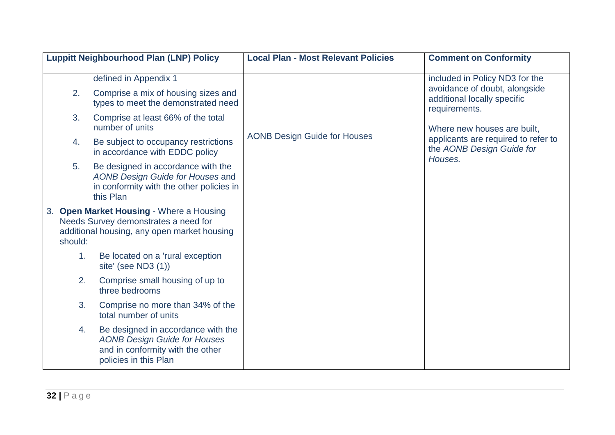|               | <b>Luppitt Neighbourhood Plan (LNP) Policy</b>                                                                                         | <b>Local Plan - Most Relevant Policies</b> | <b>Comment on Conformity</b>                                                                               |
|---------------|----------------------------------------------------------------------------------------------------------------------------------------|--------------------------------------------|------------------------------------------------------------------------------------------------------------|
|               | defined in Appendix 1                                                                                                                  |                                            | included in Policy ND3 for the                                                                             |
| 2.            | Comprise a mix of housing sizes and<br>types to meet the demonstrated need                                                             |                                            | avoidance of doubt, alongside<br>additional locally specific<br>requirements.                              |
| 3.            | Comprise at least 66% of the total<br>number of units                                                                                  |                                            | Where new houses are built,<br>applicants are required to refer to<br>the AONB Design Guide for<br>Houses. |
| 4.            | Be subject to occupancy restrictions<br>in accordance with EDDC policy                                                                 | <b>AONB Design Guide for Houses</b>        |                                                                                                            |
| 5.            | Be designed in accordance with the<br>AONB Design Guide for Houses and<br>in conformity with the other policies in<br>this Plan        |                                            |                                                                                                            |
| 3.<br>should: | <b>Open Market Housing - Where a Housing</b><br>Needs Survey demonstrates a need for<br>additional housing, any open market housing    |                                            |                                                                                                            |
| 1.            | Be located on a 'rural exception<br>site' (see ND3 (1))                                                                                |                                            |                                                                                                            |
| 2.            | Comprise small housing of up to<br>three bedrooms                                                                                      |                                            |                                                                                                            |
| 3.            | Comprise no more than 34% of the<br>total number of units                                                                              |                                            |                                                                                                            |
| 4.            | Be designed in accordance with the<br><b>AONB Design Guide for Houses</b><br>and in conformity with the other<br>policies in this Plan |                                            |                                                                                                            |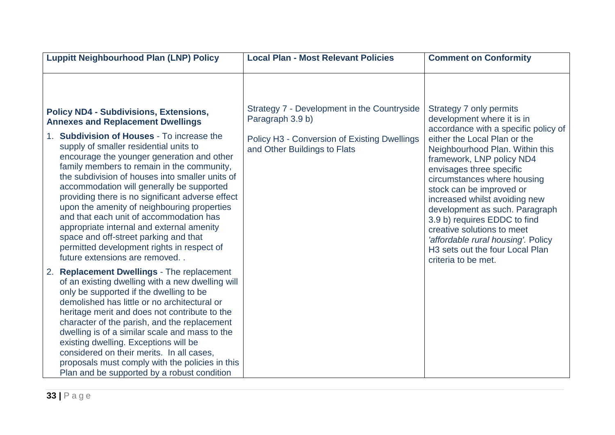| <b>Luppitt Neighbourhood Plan (LNP) Policy</b>                                                                                                                                                                                                                                                                                                                                                                                                                                                                                                                                                      | <b>Local Plan - Most Relevant Policies</b>                                   | <b>Comment on Conformity</b>                                                                                                                                                                                                                                                                                                                                                                                                     |
|-----------------------------------------------------------------------------------------------------------------------------------------------------------------------------------------------------------------------------------------------------------------------------------------------------------------------------------------------------------------------------------------------------------------------------------------------------------------------------------------------------------------------------------------------------------------------------------------------------|------------------------------------------------------------------------------|----------------------------------------------------------------------------------------------------------------------------------------------------------------------------------------------------------------------------------------------------------------------------------------------------------------------------------------------------------------------------------------------------------------------------------|
| <b>Policy ND4 - Subdivisions, Extensions,</b><br><b>Annexes and Replacement Dwellings</b>                                                                                                                                                                                                                                                                                                                                                                                                                                                                                                           | Strategy 7 - Development in the Countryside<br>Paragraph 3.9 b)              | Strategy 7 only permits<br>development where it is in<br>accordance with a specific policy of                                                                                                                                                                                                                                                                                                                                    |
| 1. Subdivision of Houses - To increase the<br>supply of smaller residential units to<br>encourage the younger generation and other<br>family members to remain in the community,<br>the subdivision of houses into smaller units of<br>accommodation will generally be supported<br>providing there is no significant adverse effect<br>upon the amenity of neighbouring properties<br>and that each unit of accommodation has<br>appropriate internal and external amenity<br>space and off-street parking and that<br>permitted development rights in respect of<br>future extensions are removed | Policy H3 - Conversion of Existing Dwellings<br>and Other Buildings to Flats | either the Local Plan or the<br>Neighbourhood Plan. Within this<br>framework, LNP policy ND4<br>envisages three specific<br>circumstances where housing<br>stock can be improved or<br>increased whilst avoiding new<br>development as such. Paragraph<br>3.9 b) requires EDDC to find<br>creative solutions to meet<br>'affordable rural housing'. Policy<br>H <sub>3</sub> sets out the four Local Plan<br>criteria to be met. |
| <b>Replacement Dwellings - The replacement</b><br>2.<br>of an existing dwelling with a new dwelling will<br>only be supported if the dwelling to be<br>demolished has little or no architectural or<br>heritage merit and does not contribute to the<br>character of the parish, and the replacement<br>dwelling is of a similar scale and mass to the<br>existing dwelling. Exceptions will be<br>considered on their merits. In all cases,<br>proposals must comply with the policies in this<br>Plan and be supported by a robust condition                                                      |                                                                              |                                                                                                                                                                                                                                                                                                                                                                                                                                  |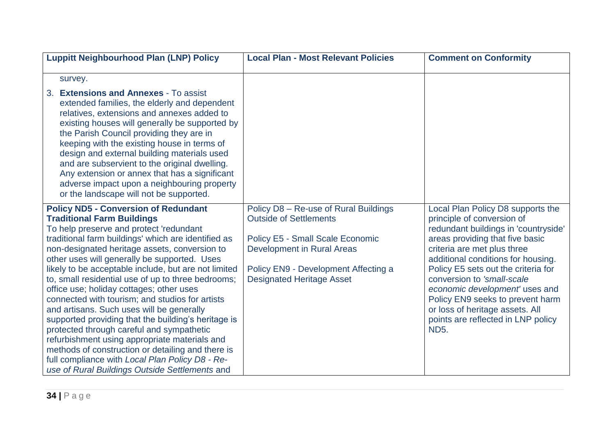| <b>Luppitt Neighbourhood Plan (LNP) Policy</b>                                                                                                                                                                                                                                                                                                                                                                                                                                                                                                                                                                                                                                                                                                                                                                                                               | <b>Local Plan - Most Relevant Policies</b>                                                                                                                                                                           | <b>Comment on Conformity</b>                                                                                                                                                                                                                                                                                                                                                                                                                       |
|--------------------------------------------------------------------------------------------------------------------------------------------------------------------------------------------------------------------------------------------------------------------------------------------------------------------------------------------------------------------------------------------------------------------------------------------------------------------------------------------------------------------------------------------------------------------------------------------------------------------------------------------------------------------------------------------------------------------------------------------------------------------------------------------------------------------------------------------------------------|----------------------------------------------------------------------------------------------------------------------------------------------------------------------------------------------------------------------|----------------------------------------------------------------------------------------------------------------------------------------------------------------------------------------------------------------------------------------------------------------------------------------------------------------------------------------------------------------------------------------------------------------------------------------------------|
| survey.                                                                                                                                                                                                                                                                                                                                                                                                                                                                                                                                                                                                                                                                                                                                                                                                                                                      |                                                                                                                                                                                                                      |                                                                                                                                                                                                                                                                                                                                                                                                                                                    |
| <b>Extensions and Annexes - To assist</b><br>3.<br>extended families, the elderly and dependent<br>relatives, extensions and annexes added to<br>existing houses will generally be supported by<br>the Parish Council providing they are in<br>keeping with the existing house in terms of<br>design and external building materials used<br>and are subservient to the original dwelling.<br>Any extension or annex that has a significant<br>adverse impact upon a neighbouring property<br>or the landscape will not be supported.                                                                                                                                                                                                                                                                                                                        |                                                                                                                                                                                                                      |                                                                                                                                                                                                                                                                                                                                                                                                                                                    |
| <b>Policy ND5 - Conversion of Redundant</b><br><b>Traditional Farm Buildings</b><br>To help preserve and protect 'redundant<br>traditional farm buildings' which are identified as<br>non-designated heritage assets, conversion to<br>other uses will generally be supported. Uses<br>likely to be acceptable include, but are not limited<br>to, small residential use of up to three bedrooms;<br>office use; holiday cottages; other uses<br>connected with tourism; and studios for artists<br>and artisans. Such uses will be generally<br>supported providing that the building's heritage is<br>protected through careful and sympathetic<br>refurbishment using appropriate materials and<br>methods of construction or detailing and there is<br>full compliance with Local Plan Policy D8 - Re-<br>use of Rural Buildings Outside Settlements and | Policy D8 - Re-use of Rural Buildings<br><b>Outside of Settlements</b><br>Policy E5 - Small Scale Economic<br>Development in Rural Areas<br>Policy EN9 - Development Affecting a<br><b>Designated Heritage Asset</b> | Local Plan Policy D8 supports the<br>principle of conversion of<br>redundant buildings in 'countryside'<br>areas providing that five basic<br>criteria are met plus three<br>additional conditions for housing.<br>Policy E5 sets out the criteria for<br>conversion to 'small-scale<br>economic development' uses and<br>Policy EN9 seeks to prevent harm<br>or loss of heritage assets. All<br>points are reflected in LNP policy<br><b>ND5.</b> |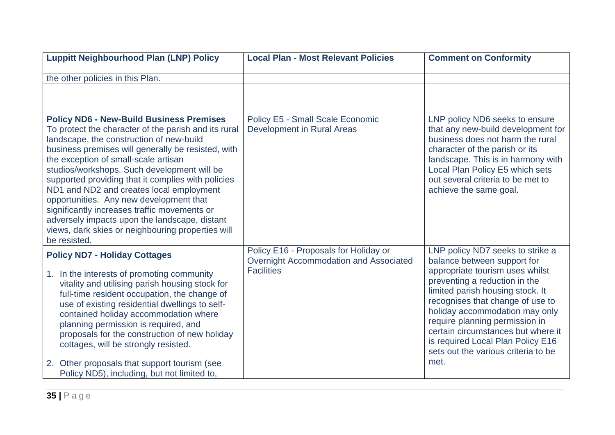| <b>Luppitt Neighbourhood Plan (LNP) Policy</b>                                                                                                                                                                                                                                                                                                                                                                                                                                                                                                                                                                      | <b>Local Plan - Most Relevant Policies</b>                                                           | <b>Comment on Conformity</b>                                                                                                                                                                                                                                                                                                                                                                              |
|---------------------------------------------------------------------------------------------------------------------------------------------------------------------------------------------------------------------------------------------------------------------------------------------------------------------------------------------------------------------------------------------------------------------------------------------------------------------------------------------------------------------------------------------------------------------------------------------------------------------|------------------------------------------------------------------------------------------------------|-----------------------------------------------------------------------------------------------------------------------------------------------------------------------------------------------------------------------------------------------------------------------------------------------------------------------------------------------------------------------------------------------------------|
| the other policies in this Plan.                                                                                                                                                                                                                                                                                                                                                                                                                                                                                                                                                                                    |                                                                                                      |                                                                                                                                                                                                                                                                                                                                                                                                           |
| <b>Policy ND6 - New-Build Business Premises</b><br>To protect the character of the parish and its rural<br>landscape, the construction of new-build<br>business premises will generally be resisted, with<br>the exception of small-scale artisan<br>studios/workshops. Such development will be<br>supported providing that it complies with policies<br>ND1 and ND2 and creates local employment<br>opportunities. Any new development that<br>significantly increases traffic movements or<br>adversely impacts upon the landscape, distant<br>views, dark skies or neighbouring properties will<br>be resisted. | <b>Policy E5 - Small Scale Economic</b><br><b>Development in Rural Areas</b>                         | LNP policy ND6 seeks to ensure<br>that any new-build development for<br>business does not harm the rural<br>character of the parish or its<br>landscape. This is in harmony with<br>Local Plan Policy E5 which sets<br>out several criteria to be met to<br>achieve the same goal.                                                                                                                        |
| <b>Policy ND7 - Holiday Cottages</b><br>1. In the interests of promoting community<br>vitality and utilising parish housing stock for<br>full-time resident occupation, the change of<br>use of existing residential dwellings to self-<br>contained holiday accommodation where<br>planning permission is required, and<br>proposals for the construction of new holiday<br>cottages, will be strongly resisted.<br>Other proposals that support tourism (see<br>2.<br>Policy ND5), including, but not limited to,                                                                                                 | Policy E16 - Proposals for Holiday or<br>Overnight Accommodation and Associated<br><b>Facilities</b> | LNP policy ND7 seeks to strike a<br>balance between support for<br>appropriate tourism uses whilst<br>preventing a reduction in the<br>limited parish housing stock. It<br>recognises that change of use to<br>holiday accommodation may only<br>require planning permission in<br>certain circumstances but where it<br>is required Local Plan Policy E16<br>sets out the various criteria to be<br>met. |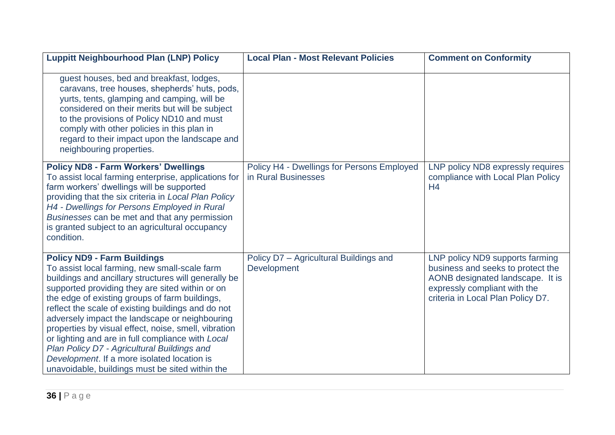| <b>Luppitt Neighbourhood Plan (LNP) Policy</b>                                                                                                                                                                                                                                                                                                                                                                                                                                                                                                                                                                         | <b>Local Plan - Most Relevant Policies</b>                        | <b>Comment on Conformity</b>                                                                                                                                                  |
|------------------------------------------------------------------------------------------------------------------------------------------------------------------------------------------------------------------------------------------------------------------------------------------------------------------------------------------------------------------------------------------------------------------------------------------------------------------------------------------------------------------------------------------------------------------------------------------------------------------------|-------------------------------------------------------------------|-------------------------------------------------------------------------------------------------------------------------------------------------------------------------------|
| guest houses, bed and breakfast, lodges,<br>caravans, tree houses, shepherds' huts, pods,<br>yurts, tents, glamping and camping, will be<br>considered on their merits but will be subject<br>to the provisions of Policy ND10 and must<br>comply with other policies in this plan in<br>regard to their impact upon the landscape and<br>neighbouring properties.                                                                                                                                                                                                                                                     |                                                                   |                                                                                                                                                                               |
| <b>Policy ND8 - Farm Workers' Dwellings</b><br>To assist local farming enterprise, applications for<br>farm workers' dwellings will be supported<br>providing that the six criteria in Local Plan Policy<br>H4 - Dwellings for Persons Employed in Rural<br>Businesses can be met and that any permission<br>is granted subject to an agricultural occupancy<br>condition.                                                                                                                                                                                                                                             | Policy H4 - Dwellings for Persons Employed<br>in Rural Businesses | LNP policy ND8 expressly requires<br>compliance with Local Plan Policy<br>H <sub>4</sub>                                                                                      |
| <b>Policy ND9 - Farm Buildings</b><br>To assist local farming, new small-scale farm<br>buildings and ancillary structures will generally be<br>supported providing they are sited within or on<br>the edge of existing groups of farm buildings,<br>reflect the scale of existing buildings and do not<br>adversely impact the landscape or neighbouring<br>properties by visual effect, noise, smell, vibration<br>or lighting and are in full compliance with Local<br>Plan Policy D7 - Agricultural Buildings and<br>Development. If a more isolated location is<br>unavoidable, buildings must be sited within the | Policy D7 - Agricultural Buildings and<br>Development             | LNP policy ND9 supports farming<br>business and seeks to protect the<br>AONB designated landscape. It is<br>expressly compliant with the<br>criteria in Local Plan Policy D7. |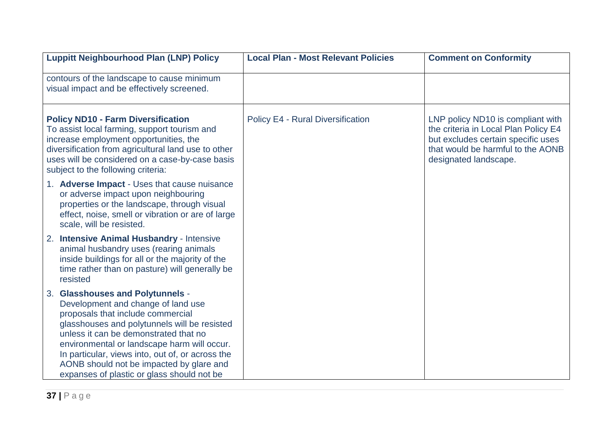| <b>Luppitt Neighbourhood Plan (LNP) Policy</b>                                                                                                                                                                                                                                                                                                                                                    | <b>Local Plan - Most Relevant Policies</b> | <b>Comment on Conformity</b>                                                                                                                                                  |
|---------------------------------------------------------------------------------------------------------------------------------------------------------------------------------------------------------------------------------------------------------------------------------------------------------------------------------------------------------------------------------------------------|--------------------------------------------|-------------------------------------------------------------------------------------------------------------------------------------------------------------------------------|
| contours of the landscape to cause minimum<br>visual impact and be effectively screened.                                                                                                                                                                                                                                                                                                          |                                            |                                                                                                                                                                               |
| <b>Policy ND10 - Farm Diversification</b><br>To assist local farming, support tourism and<br>increase employment opportunities, the<br>diversification from agricultural land use to other<br>uses will be considered on a case-by-case basis<br>subject to the following criteria:                                                                                                               | <b>Policy E4 - Rural Diversification</b>   | LNP policy ND10 is compliant with<br>the criteria in Local Plan Policy E4<br>but excludes certain specific uses<br>that would be harmful to the AONB<br>designated landscape. |
| 1. Adverse Impact - Uses that cause nuisance<br>or adverse impact upon neighbouring<br>properties or the landscape, through visual<br>effect, noise, smell or vibration or are of large<br>scale, will be resisted.                                                                                                                                                                               |                                            |                                                                                                                                                                               |
| <b>Intensive Animal Husbandry - Intensive</b><br>2.<br>animal husbandry uses (rearing animals<br>inside buildings for all or the majority of the<br>time rather than on pasture) will generally be<br>resisted                                                                                                                                                                                    |                                            |                                                                                                                                                                               |
| 3. Glasshouses and Polytunnels -<br>Development and change of land use<br>proposals that include commercial<br>glasshouses and polytunnels will be resisted<br>unless it can be demonstrated that no<br>environmental or landscape harm will occur.<br>In particular, views into, out of, or across the<br>AONB should not be impacted by glare and<br>expanses of plastic or glass should not be |                                            |                                                                                                                                                                               |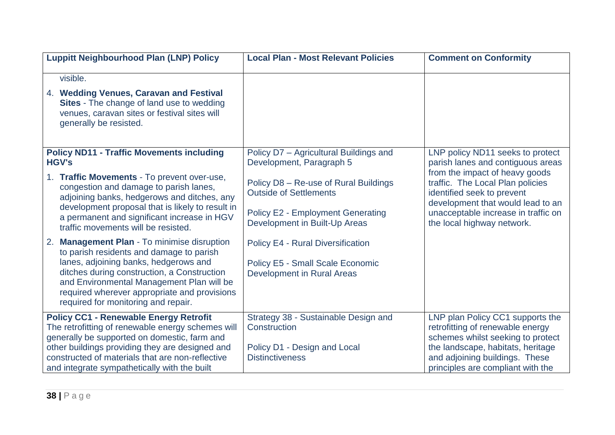| <b>Luppitt Neighbourhood Plan (LNP) Policy</b>                                                                                                                                                                                                                                                                                | <b>Local Plan - Most Relevant Policies</b>                                                                                                          | <b>Comment on Conformity</b>                                                                                                                                                                                          |
|-------------------------------------------------------------------------------------------------------------------------------------------------------------------------------------------------------------------------------------------------------------------------------------------------------------------------------|-----------------------------------------------------------------------------------------------------------------------------------------------------|-----------------------------------------------------------------------------------------------------------------------------------------------------------------------------------------------------------------------|
| visible.<br>4. Wedding Venues, Caravan and Festival<br>Sites - The change of land use to wedding<br>venues, caravan sites or festival sites will<br>generally be resisted.                                                                                                                                                    |                                                                                                                                                     |                                                                                                                                                                                                                       |
| <b>Policy ND11 - Traffic Movements including</b><br><b>HGV's</b>                                                                                                                                                                                                                                                              | Policy D7 - Agricultural Buildings and<br>Development, Paragraph 5                                                                                  | LNP policy ND11 seeks to protect<br>parish lanes and contiguous areas<br>from the impact of heavy goods                                                                                                               |
| 1. Traffic Movements - To prevent over-use,<br>congestion and damage to parish lanes,<br>adjoining banks, hedgerows and ditches, any<br>development proposal that is likely to result in<br>a permanent and significant increase in HGV<br>traffic movements will be resisted.                                                | Policy D8 - Re-use of Rural Buildings<br><b>Outside of Settlements</b><br><b>Policy E2 - Employment Generating</b><br>Development in Built-Up Areas | traffic. The Local Plan policies<br>identified seek to prevent<br>development that would lead to an<br>unacceptable increase in traffic on<br>the local highway network.                                              |
| <b>Management Plan - To minimise disruption</b><br>2.<br>to parish residents and damage to parish<br>lanes, adjoining banks, hedgerows and<br>ditches during construction, a Construction<br>and Environmental Management Plan will be<br>required wherever appropriate and provisions<br>required for monitoring and repair. | <b>Policy E4 - Rural Diversification</b><br><b>Policy E5 - Small Scale Economic</b><br><b>Development in Rural Areas</b>                            |                                                                                                                                                                                                                       |
| <b>Policy CC1 - Renewable Energy Retrofit</b><br>The retrofitting of renewable energy schemes will<br>generally be supported on domestic, farm and<br>other buildings providing they are designed and<br>constructed of materials that are non-reflective<br>and integrate sympathetically with the built                     | Strategy 38 - Sustainable Design and<br>Construction<br>Policy D1 - Design and Local<br><b>Distinctiveness</b>                                      | LNP plan Policy CC1 supports the<br>retrofitting of renewable energy<br>schemes whilst seeking to protect<br>the landscape, habitats, heritage<br>and adjoining buildings. These<br>principles are compliant with the |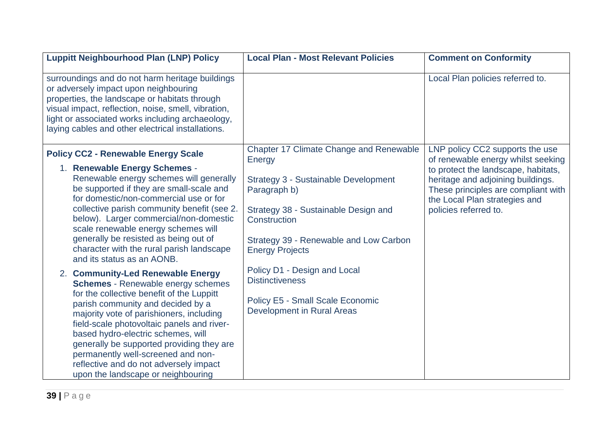| <b>Luppitt Neighbourhood Plan (LNP) Policy</b>                                                                                                                                                                                                                                                                                                                                                                     | <b>Local Plan - Most Relevant Policies</b>                                                                                                                                                        | <b>Comment on Conformity</b>                                                                                                                                                                                    |
|--------------------------------------------------------------------------------------------------------------------------------------------------------------------------------------------------------------------------------------------------------------------------------------------------------------------------------------------------------------------------------------------------------------------|---------------------------------------------------------------------------------------------------------------------------------------------------------------------------------------------------|-----------------------------------------------------------------------------------------------------------------------------------------------------------------------------------------------------------------|
| surroundings and do not harm heritage buildings<br>or adversely impact upon neighbouring<br>properties, the landscape or habitats through<br>visual impact, reflection, noise, smell, vibration,<br>light or associated works including archaeology,<br>laying cables and other electrical installations.                                                                                                          |                                                                                                                                                                                                   | Local Plan policies referred to.                                                                                                                                                                                |
| <b>Policy CC2 - Renewable Energy Scale</b>                                                                                                                                                                                                                                                                                                                                                                         | <b>Chapter 17 Climate Change and Renewable</b>                                                                                                                                                    | LNP policy CC2 supports the use                                                                                                                                                                                 |
| 1. Renewable Energy Schemes -<br>Renewable energy schemes will generally<br>be supported if they are small-scale and<br>for domestic/non-commercial use or for<br>collective parish community benefit (see 2.<br>below). Larger commercial/non-domestic<br>scale renewable energy schemes will<br>generally be resisted as being out of<br>character with the rural parish landscape<br>and its status as an AONB. | Energy<br><b>Strategy 3 - Sustainable Development</b><br>Paragraph b)<br>Strategy 38 - Sustainable Design and<br>Construction<br>Strategy 39 - Renewable and Low Carbon<br><b>Energy Projects</b> | of renewable energy whilst seeking<br>to protect the landscape, habitats,<br>heritage and adjoining buildings.<br>These principles are compliant with<br>the Local Plan strategies and<br>policies referred to. |
| 2. Community-Led Renewable Energy<br><b>Schemes</b> - Renewable energy schemes                                                                                                                                                                                                                                                                                                                                     | Policy D1 - Design and Local<br><b>Distinctiveness</b>                                                                                                                                            |                                                                                                                                                                                                                 |
| for the collective benefit of the Luppitt<br>parish community and decided by a<br>majority vote of parishioners, including<br>field-scale photovoltaic panels and river-<br>based hydro-electric schemes, will<br>generally be supported providing they are<br>permanently well-screened and non-<br>reflective and do not adversely impact<br>upon the landscape or neighbouring                                  | <b>Policy E5 - Small Scale Economic</b><br>Development in Rural Areas                                                                                                                             |                                                                                                                                                                                                                 |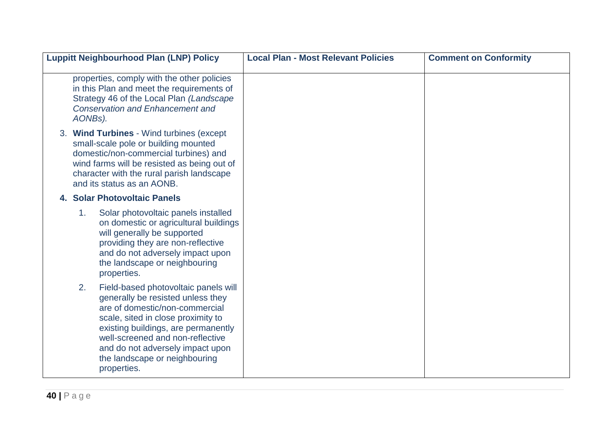| <b>Luppitt Neighbourhood Plan (LNP) Policy</b>                                                                                                                                                                                                                                                                         | <b>Local Plan - Most Relevant Policies</b> | <b>Comment on Conformity</b> |
|------------------------------------------------------------------------------------------------------------------------------------------------------------------------------------------------------------------------------------------------------------------------------------------------------------------------|--------------------------------------------|------------------------------|
| properties, comply with the other policies<br>in this Plan and meet the requirements of<br>Strategy 46 of the Local Plan (Landscape<br><b>Conservation and Enhancement and</b><br>AONBs).                                                                                                                              |                                            |                              |
| 3. Wind Turbines - Wind turbines (except<br>small-scale pole or building mounted<br>domestic/non-commercial turbines) and<br>wind farms will be resisted as being out of<br>character with the rural parish landscape<br>and its status as an AONB.                                                                    |                                            |                              |
| 4. Solar Photovoltaic Panels                                                                                                                                                                                                                                                                                           |                                            |                              |
| 1 <sub>1</sub><br>Solar photovoltaic panels installed<br>on domestic or agricultural buildings<br>will generally be supported<br>providing they are non-reflective<br>and do not adversely impact upon<br>the landscape or neighbouring<br>properties.                                                                 |                                            |                              |
| 2.<br>Field-based photovoltaic panels will<br>generally be resisted unless they<br>are of domestic/non-commercial<br>scale, sited in close proximity to<br>existing buildings, are permanently<br>well-screened and non-reflective<br>and do not adversely impact upon<br>the landscape or neighbouring<br>properties. |                                            |                              |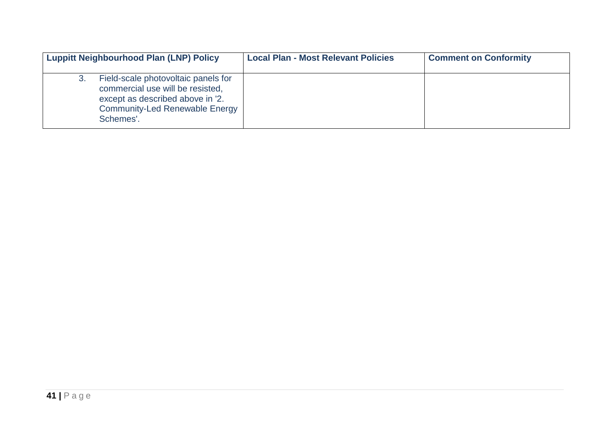| <b>Luppitt Neighbourhood Plan (LNP) Policy</b>                                                                                                                          | <b>Local Plan - Most Relevant Policies</b> | <b>Comment on Conformity</b> |
|-------------------------------------------------------------------------------------------------------------------------------------------------------------------------|--------------------------------------------|------------------------------|
| Field-scale photovoltaic panels for<br>3.<br>commercial use will be resisted,<br>except as described above in '2.<br><b>Community-Led Renewable Energy</b><br>Schemes'. |                                            |                              |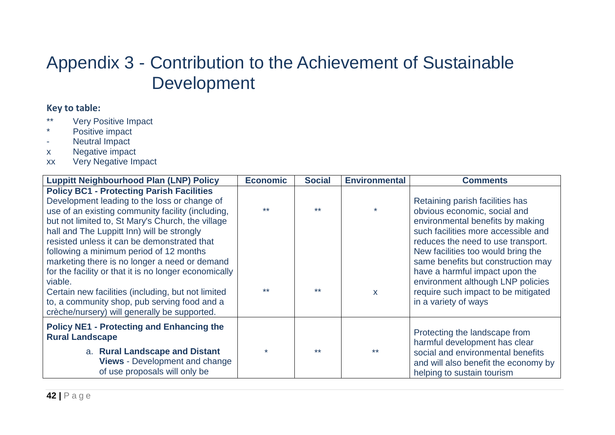#### Appendix 3 - Contribution to the Achievement of Sustainable Development

#### **Key to table:**

- \*\* Very Positive Impact
- \* Positive impact
- Neutral Impact
- x Negative impact
- xx Very Negative Impact

| <b>Luppitt Neighbourhood Plan (LNP) Policy</b>                                                                                                                                                                                                                                                                                                                                                                                                                                                                                                                                                                                | <b>Economic</b> | <b>Social</b> | <b>Environmental</b> | <b>Comments</b>                                                                                                                                                                                                                                                                                                                                                                                    |
|-------------------------------------------------------------------------------------------------------------------------------------------------------------------------------------------------------------------------------------------------------------------------------------------------------------------------------------------------------------------------------------------------------------------------------------------------------------------------------------------------------------------------------------------------------------------------------------------------------------------------------|-----------------|---------------|----------------------|----------------------------------------------------------------------------------------------------------------------------------------------------------------------------------------------------------------------------------------------------------------------------------------------------------------------------------------------------------------------------------------------------|
| <b>Policy BC1 - Protecting Parish Facilities</b><br>Development leading to the loss or change of<br>use of an existing community facility (including,<br>but not limited to, St Mary's Church, the village<br>hall and The Luppitt Inn) will be strongly<br>resisted unless it can be demonstrated that<br>following a minimum period of 12 months<br>marketing there is no longer a need or demand<br>for the facility or that it is no longer economically<br>viable.<br>Certain new facilities (including, but not limited<br>to, a community shop, pub serving food and a<br>crèche/nursery) will generally be supported. | $***$           | $**$          | $\mathbf{x}$         | Retaining parish facilities has<br>obvious economic, social and<br>environmental benefits by making<br>such facilities more accessible and<br>reduces the need to use transport.<br>New facilities too would bring the<br>same benefits but construction may<br>have a harmful impact upon the<br>environment although LNP policies<br>require such impact to be mitigated<br>in a variety of ways |
| <b>Policy NE1 - Protecting and Enhancing the</b><br><b>Rural Landscape</b><br>a. Rural Landscape and Distant<br><b>Views</b> - Development and change<br>of use proposals will only be                                                                                                                                                                                                                                                                                                                                                                                                                                        |                 | $**$          |                      | Protecting the landscape from<br>harmful development has clear<br>social and environmental benefits<br>and will also benefit the economy by<br>helping to sustain tourism                                                                                                                                                                                                                          |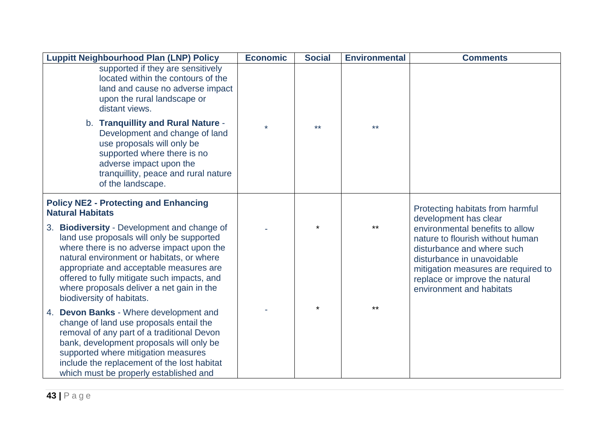| <b>Luppitt Neighbourhood Plan (LNP) Policy</b>                                                                                                                                                                                                                                                                                                         | <b>Economic</b> | <b>Social</b> | <b>Environmental</b> | <b>Comments</b>                                                                                                                                                                                                                                               |
|--------------------------------------------------------------------------------------------------------------------------------------------------------------------------------------------------------------------------------------------------------------------------------------------------------------------------------------------------------|-----------------|---------------|----------------------|---------------------------------------------------------------------------------------------------------------------------------------------------------------------------------------------------------------------------------------------------------------|
| supported if they are sensitively<br>located within the contours of the<br>land and cause no adverse impact<br>upon the rural landscape or<br>distant views.                                                                                                                                                                                           |                 |               |                      |                                                                                                                                                                                                                                                               |
| b. Tranquillity and Rural Nature -<br>Development and change of land<br>use proposals will only be<br>supported where there is no<br>adverse impact upon the<br>tranquillity, peace and rural nature<br>of the landscape.                                                                                                                              |                 | $***$         | $***$                |                                                                                                                                                                                                                                                               |
| <b>Policy NE2 - Protecting and Enhancing</b><br><b>Natural Habitats</b>                                                                                                                                                                                                                                                                                |                 |               |                      | Protecting habitats from harmful                                                                                                                                                                                                                              |
| 3. Biodiversity - Development and change of<br>land use proposals will only be supported<br>where there is no adverse impact upon the<br>natural environment or habitats, or where<br>appropriate and acceptable measures are<br>offered to fully mitigate such impacts, and<br>where proposals deliver a net gain in the<br>biodiversity of habitats. |                 |               | **                   | development has clear<br>environmental benefits to allow<br>nature to flourish without human<br>disturbance and where such<br>disturbance in unavoidable<br>mitigation measures are required to<br>replace or improve the natural<br>environment and habitats |
| 4. Devon Banks - Where development and<br>change of land use proposals entail the<br>removal of any part of a traditional Devon<br>bank, development proposals will only be<br>supported where mitigation measures<br>include the replacement of the lost habitat<br>which must be properly established and                                            |                 |               | **                   |                                                                                                                                                                                                                                                               |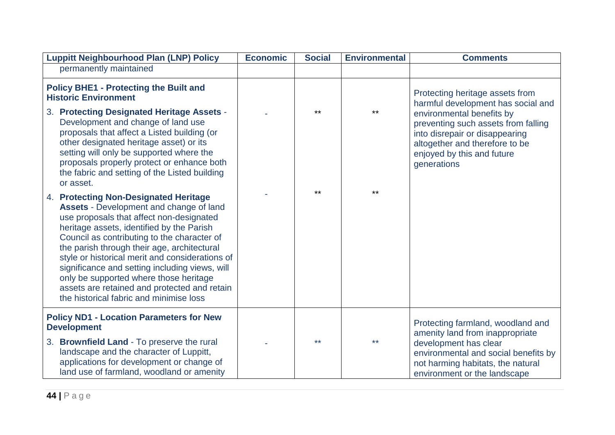| <b>Luppitt Neighbourhood Plan (LNP) Policy</b>                                                                                                                                                                                                                                                                                                                                                                                                                                                                    | <b>Economic</b> | <b>Social</b> | <b>Environmental</b> | <b>Comments</b>                                                                                                                                                                                                                                            |
|-------------------------------------------------------------------------------------------------------------------------------------------------------------------------------------------------------------------------------------------------------------------------------------------------------------------------------------------------------------------------------------------------------------------------------------------------------------------------------------------------------------------|-----------------|---------------|----------------------|------------------------------------------------------------------------------------------------------------------------------------------------------------------------------------------------------------------------------------------------------------|
| permanently maintained                                                                                                                                                                                                                                                                                                                                                                                                                                                                                            |                 |               |                      |                                                                                                                                                                                                                                                            |
| <b>Policy BHE1 - Protecting the Built and</b><br><b>Historic Environment</b><br>3. Protecting Designated Heritage Assets -<br>Development and change of land use<br>proposals that affect a Listed building (or<br>other designated heritage asset) or its<br>setting will only be supported where the<br>proposals properly protect or enhance both<br>the fabric and setting of the Listed building<br>or asset.                                                                                                |                 | $***$         | $***$                | Protecting heritage assets from<br>harmful development has social and<br>environmental benefits by<br>preventing such assets from falling<br>into disrepair or disappearing<br>altogether and therefore to be<br>enjoyed by this and future<br>generations |
| 4. Protecting Non-Designated Heritage<br>Assets - Development and change of land<br>use proposals that affect non-designated<br>heritage assets, identified by the Parish<br>Council as contributing to the character of<br>the parish through their age, architectural<br>style or historical merit and considerations of<br>significance and setting including views, will<br>only be supported where those heritage<br>assets are retained and protected and retain<br>the historical fabric and minimise loss |                 | **            | $***$                |                                                                                                                                                                                                                                                            |
| <b>Policy ND1 - Location Parameters for New</b><br><b>Development</b><br>3. Brownfield Land - To preserve the rural<br>landscape and the character of Luppitt,<br>applications for development or change of<br>land use of farmland, woodland or amenity                                                                                                                                                                                                                                                          |                 | $***$         | $***$                | Protecting farmland, woodland and<br>amenity land from inappropriate<br>development has clear<br>environmental and social benefits by<br>not harming habitats, the natural<br>environment or the landscape                                                 |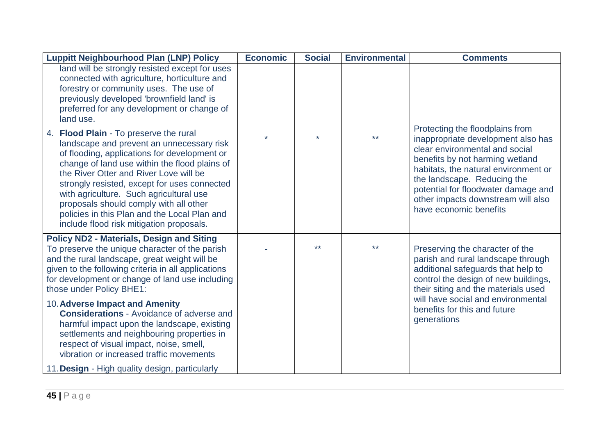| <b>Luppitt Neighbourhood Plan (LNP) Policy</b>                                                                                                                                                                                                                                                                                                                                                                                                                  | <b>Economic</b> | <b>Social</b> | <b>Environmental</b> | <b>Comments</b>                                                                                                                                                                                                                                                                                                          |
|-----------------------------------------------------------------------------------------------------------------------------------------------------------------------------------------------------------------------------------------------------------------------------------------------------------------------------------------------------------------------------------------------------------------------------------------------------------------|-----------------|---------------|----------------------|--------------------------------------------------------------------------------------------------------------------------------------------------------------------------------------------------------------------------------------------------------------------------------------------------------------------------|
| land will be strongly resisted except for uses<br>connected with agriculture, horticulture and<br>forestry or community uses. The use of<br>previously developed 'brownfield land' is<br>preferred for any development or change of<br>land use.                                                                                                                                                                                                                |                 |               |                      |                                                                                                                                                                                                                                                                                                                          |
| 4. Flood Plain - To preserve the rural<br>landscape and prevent an unnecessary risk<br>of flooding, applications for development or<br>change of land use within the flood plains of<br>the River Otter and River Love will be<br>strongly resisted, except for uses connected<br>with agriculture. Such agricultural use<br>proposals should comply with all other<br>policies in this Plan and the Local Plan and<br>include flood risk mitigation proposals. |                 |               | $***$                | Protecting the floodplains from<br>inappropriate development also has<br>clear environmental and social<br>benefits by not harming wetland<br>habitats, the natural environment or<br>the landscape. Reducing the<br>potential for floodwater damage and<br>other impacts downstream will also<br>have economic benefits |
| <b>Policy ND2 - Materials, Design and Siting</b><br>To preserve the unique character of the parish<br>and the rural landscape, great weight will be<br>given to the following criteria in all applications<br>for development or change of land use including<br>those under Policy BHE1:                                                                                                                                                                       |                 | $***$         | $***$                | Preserving the character of the<br>parish and rural landscape through<br>additional safeguards that help to<br>control the design of new buildings,<br>their siting and the materials used                                                                                                                               |
| 10. Adverse Impact and Amenity<br><b>Considerations - Avoidance of adverse and</b><br>harmful impact upon the landscape, existing<br>settlements and neighbouring properties in<br>respect of visual impact, noise, smell,<br>vibration or increased traffic movements                                                                                                                                                                                          |                 |               |                      | will have social and environmental<br>benefits for this and future<br>generations                                                                                                                                                                                                                                        |
| 11. Design - High quality design, particularly                                                                                                                                                                                                                                                                                                                                                                                                                  |                 |               |                      |                                                                                                                                                                                                                                                                                                                          |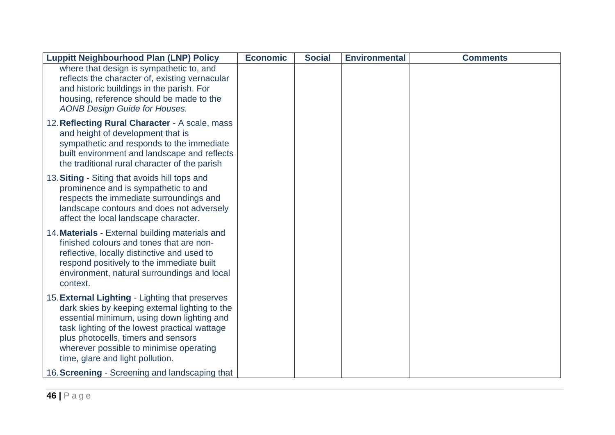| <b>Luppitt Neighbourhood Plan (LNP) Policy</b>                                                                                                                                                                                                                                                                         | <b>Economic</b> | <b>Social</b> | <b>Environmental</b> | <b>Comments</b> |
|------------------------------------------------------------------------------------------------------------------------------------------------------------------------------------------------------------------------------------------------------------------------------------------------------------------------|-----------------|---------------|----------------------|-----------------|
| where that design is sympathetic to, and<br>reflects the character of, existing vernacular<br>and historic buildings in the parish. For<br>housing, reference should be made to the<br><b>AONB Design Guide for Houses.</b>                                                                                            |                 |               |                      |                 |
| 12. Reflecting Rural Character - A scale, mass<br>and height of development that is<br>sympathetic and responds to the immediate<br>built environment and landscape and reflects<br>the traditional rural character of the parish                                                                                      |                 |               |                      |                 |
| 13. Siting - Siting that avoids hill tops and<br>prominence and is sympathetic to and<br>respects the immediate surroundings and<br>landscape contours and does not adversely<br>affect the local landscape character.                                                                                                 |                 |               |                      |                 |
| 14. Materials - External building materials and<br>finished colours and tones that are non-<br>reflective, locally distinctive and used to<br>respond positively to the immediate built<br>environment, natural surroundings and local<br>context.                                                                     |                 |               |                      |                 |
| 15. External Lighting - Lighting that preserves<br>dark skies by keeping external lighting to the<br>essential minimum, using down lighting and<br>task lighting of the lowest practical wattage<br>plus photocells, timers and sensors<br>wherever possible to minimise operating<br>time, glare and light pollution. |                 |               |                      |                 |
| 16. Screening - Screening and landscaping that                                                                                                                                                                                                                                                                         |                 |               |                      |                 |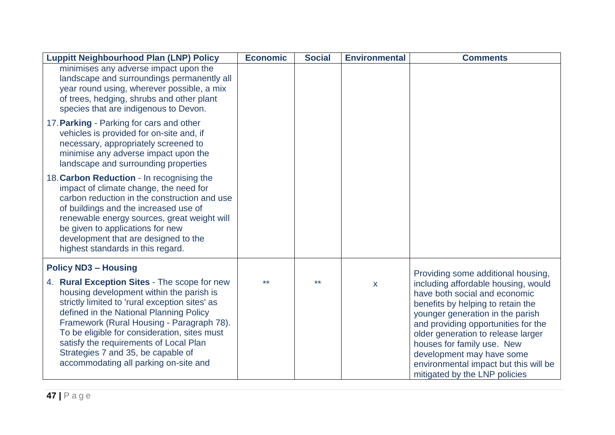| <b>Luppitt Neighbourhood Plan (LNP) Policy</b>                                                                                                                                                                                                                                                                                                                                                              | <b>Economic</b> | <b>Social</b> | <b>Environmental</b> | <b>Comments</b>                                                                                                                                                                                                                                                                                                                                                                                       |
|-------------------------------------------------------------------------------------------------------------------------------------------------------------------------------------------------------------------------------------------------------------------------------------------------------------------------------------------------------------------------------------------------------------|-----------------|---------------|----------------------|-------------------------------------------------------------------------------------------------------------------------------------------------------------------------------------------------------------------------------------------------------------------------------------------------------------------------------------------------------------------------------------------------------|
| minimises any adverse impact upon the<br>landscape and surroundings permanently all<br>year round using, wherever possible, a mix<br>of trees, hedging, shrubs and other plant<br>species that are indigenous to Devon.                                                                                                                                                                                     |                 |               |                      |                                                                                                                                                                                                                                                                                                                                                                                                       |
| 17. Parking - Parking for cars and other<br>vehicles is provided for on-site and, if<br>necessary, appropriately screened to<br>minimise any adverse impact upon the<br>landscape and surrounding properties                                                                                                                                                                                                |                 |               |                      |                                                                                                                                                                                                                                                                                                                                                                                                       |
| 18. Carbon Reduction - In recognising the<br>impact of climate change, the need for<br>carbon reduction in the construction and use<br>of buildings and the increased use of<br>renewable energy sources, great weight will<br>be given to applications for new<br>development that are designed to the<br>highest standards in this regard.                                                                |                 |               |                      |                                                                                                                                                                                                                                                                                                                                                                                                       |
| <b>Policy ND3 - Housing</b>                                                                                                                                                                                                                                                                                                                                                                                 |                 |               |                      |                                                                                                                                                                                                                                                                                                                                                                                                       |
| 4. Rural Exception Sites - The scope for new<br>housing development within the parish is<br>strictly limited to 'rural exception sites' as<br>defined in the National Planning Policy<br>Framework (Rural Housing - Paragraph 78).<br>To be eligible for consideration, sites must<br>satisfy the requirements of Local Plan<br>Strategies 7 and 35, be capable of<br>accommodating all parking on-site and | $***$           | $+ +$         | X                    | Providing some additional housing,<br>including affordable housing, would<br>have both social and economic<br>benefits by helping to retain the<br>younger generation in the parish<br>and providing opportunities for the<br>older generation to release larger<br>houses for family use. New<br>development may have some<br>environmental impact but this will be<br>mitigated by the LNP policies |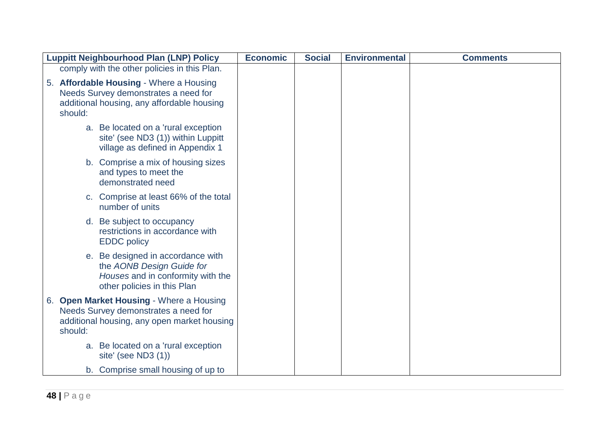|         | <b>Luppitt Neighbourhood Plan (LNP) Policy</b>                                                                                     | <b>Economic</b> | <b>Social</b> | <b>Environmental</b> | <b>Comments</b> |
|---------|------------------------------------------------------------------------------------------------------------------------------------|-----------------|---------------|----------------------|-----------------|
|         | comply with the other policies in this Plan.                                                                                       |                 |               |                      |                 |
| should: | 5. Affordable Housing - Where a Housing<br>Needs Survey demonstrates a need for<br>additional housing, any affordable housing      |                 |               |                      |                 |
|         | a. Be located on a 'rural exception<br>site' (see ND3 (1)) within Luppitt<br>village as defined in Appendix 1                      |                 |               |                      |                 |
|         | b. Comprise a mix of housing sizes<br>and types to meet the<br>demonstrated need                                                   |                 |               |                      |                 |
|         | c. Comprise at least 66% of the total<br>number of units                                                                           |                 |               |                      |                 |
|         | d. Be subject to occupancy<br>restrictions in accordance with<br><b>EDDC</b> policy                                                |                 |               |                      |                 |
|         | e. Be designed in accordance with<br>the AONB Design Guide for<br>Houses and in conformity with the<br>other policies in this Plan |                 |               |                      |                 |
| should: | 6. Open Market Housing - Where a Housing<br>Needs Survey demonstrates a need for<br>additional housing, any open market housing    |                 |               |                      |                 |
|         | a. Be located on a 'rural exception<br>site' (see ND3 $(1)$ )                                                                      |                 |               |                      |                 |
|         | b. Comprise small housing of up to                                                                                                 |                 |               |                      |                 |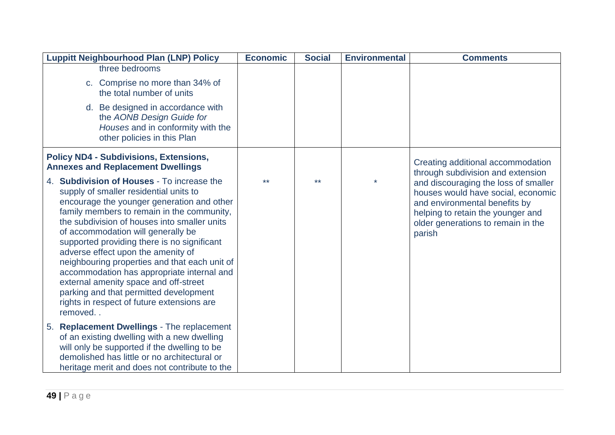| <b>Luppitt Neighbourhood Plan (LNP) Policy</b>                                                                                                                                                                                                                                                                                                                                                                                                                                                                                                                                                         | <b>Economic</b> | <b>Social</b> | <b>Environmental</b> | <b>Comments</b>                                                                                                                                                                                  |
|--------------------------------------------------------------------------------------------------------------------------------------------------------------------------------------------------------------------------------------------------------------------------------------------------------------------------------------------------------------------------------------------------------------------------------------------------------------------------------------------------------------------------------------------------------------------------------------------------------|-----------------|---------------|----------------------|--------------------------------------------------------------------------------------------------------------------------------------------------------------------------------------------------|
| three bedrooms                                                                                                                                                                                                                                                                                                                                                                                                                                                                                                                                                                                         |                 |               |                      |                                                                                                                                                                                                  |
| c. Comprise no more than 34% of<br>the total number of units                                                                                                                                                                                                                                                                                                                                                                                                                                                                                                                                           |                 |               |                      |                                                                                                                                                                                                  |
| d. Be designed in accordance with<br>the AONB Design Guide for<br>Houses and in conformity with the<br>other policies in this Plan                                                                                                                                                                                                                                                                                                                                                                                                                                                                     |                 |               |                      |                                                                                                                                                                                                  |
| <b>Policy ND4 - Subdivisions, Extensions,</b><br><b>Annexes and Replacement Dwellings</b>                                                                                                                                                                                                                                                                                                                                                                                                                                                                                                              |                 |               |                      | Creating additional accommodation<br>through subdivision and extension                                                                                                                           |
| 4. Subdivision of Houses - To increase the<br>supply of smaller residential units to<br>encourage the younger generation and other<br>family members to remain in the community,<br>the subdivision of houses into smaller units<br>of accommodation will generally be<br>supported providing there is no significant<br>adverse effect upon the amenity of<br>neighbouring properties and that each unit of<br>accommodation has appropriate internal and<br>external amenity space and off-street<br>parking and that permitted development<br>rights in respect of future extensions are<br>removed | $***$           | $***$         |                      | and discouraging the loss of smaller<br>houses would have social, economic<br>and environmental benefits by<br>helping to retain the younger and<br>older generations to remain in the<br>parish |
| 5. Replacement Dwellings - The replacement<br>of an existing dwelling with a new dwelling<br>will only be supported if the dwelling to be<br>demolished has little or no architectural or<br>heritage merit and does not contribute to the                                                                                                                                                                                                                                                                                                                                                             |                 |               |                      |                                                                                                                                                                                                  |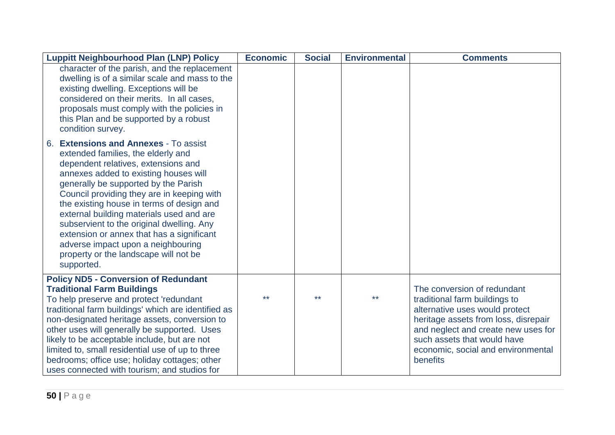| <b>Luppitt Neighbourhood Plan (LNP) Policy</b>                                                                                                                                                                                                                                                                                                                                                                                                                                                                                    | <b>Economic</b> | <b>Social</b> | <b>Environmental</b> | <b>Comments</b>                                                                                                                                                                                                                                                |
|-----------------------------------------------------------------------------------------------------------------------------------------------------------------------------------------------------------------------------------------------------------------------------------------------------------------------------------------------------------------------------------------------------------------------------------------------------------------------------------------------------------------------------------|-----------------|---------------|----------------------|----------------------------------------------------------------------------------------------------------------------------------------------------------------------------------------------------------------------------------------------------------------|
| character of the parish, and the replacement<br>dwelling is of a similar scale and mass to the<br>existing dwelling. Exceptions will be<br>considered on their merits. In all cases,<br>proposals must comply with the policies in<br>this Plan and be supported by a robust<br>condition survey.                                                                                                                                                                                                                                 |                 |               |                      |                                                                                                                                                                                                                                                                |
| 6. Extensions and Annexes - To assist<br>extended families, the elderly and<br>dependent relatives, extensions and<br>annexes added to existing houses will<br>generally be supported by the Parish<br>Council providing they are in keeping with<br>the existing house in terms of design and<br>external building materials used and are<br>subservient to the original dwelling. Any<br>extension or annex that has a significant<br>adverse impact upon a neighbouring<br>property or the landscape will not be<br>supported. |                 |               |                      |                                                                                                                                                                                                                                                                |
| <b>Policy ND5 - Conversion of Redundant</b><br><b>Traditional Farm Buildings</b><br>To help preserve and protect 'redundant<br>traditional farm buildings' which are identified as<br>non-designated heritage assets, conversion to<br>other uses will generally be supported. Uses<br>likely to be acceptable include, but are not<br>limited to, small residential use of up to three<br>bedrooms; office use; holiday cottages; other<br>uses connected with tourism; and studios for                                          | **              | $***$         | $***$                | The conversion of redundant<br>traditional farm buildings to<br>alternative uses would protect<br>heritage assets from loss, disrepair<br>and neglect and create new uses for<br>such assets that would have<br>economic, social and environmental<br>benefits |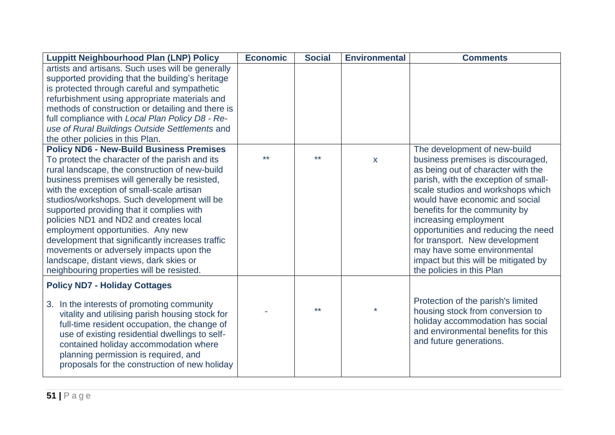| <b>Luppitt Neighbourhood Plan (LNP) Policy</b>                                                                                                                                                                                                                                                                                                                                                                                                                                                                                                                   | <b>Economic</b> | <b>Social</b> | <b>Environmental</b> | <b>Comments</b>                                                                                                                                                                                                                                                                                                                                                                                                               |
|------------------------------------------------------------------------------------------------------------------------------------------------------------------------------------------------------------------------------------------------------------------------------------------------------------------------------------------------------------------------------------------------------------------------------------------------------------------------------------------------------------------------------------------------------------------|-----------------|---------------|----------------------|-------------------------------------------------------------------------------------------------------------------------------------------------------------------------------------------------------------------------------------------------------------------------------------------------------------------------------------------------------------------------------------------------------------------------------|
| artists and artisans. Such uses will be generally<br>supported providing that the building's heritage<br>is protected through careful and sympathetic<br>refurbishment using appropriate materials and<br>methods of construction or detailing and there is<br>full compliance with Local Plan Policy D8 - Re-<br>use of Rural Buildings Outside Settlements and<br>the other policies in this Plan.                                                                                                                                                             |                 |               |                      |                                                                                                                                                                                                                                                                                                                                                                                                                               |
| <b>Policy ND6 - New-Build Business Premises</b>                                                                                                                                                                                                                                                                                                                                                                                                                                                                                                                  |                 |               |                      | The development of new-build                                                                                                                                                                                                                                                                                                                                                                                                  |
| To protect the character of the parish and its<br>rural landscape, the construction of new-build<br>business premises will generally be resisted,<br>with the exception of small-scale artisan<br>studios/workshops. Such development will be<br>supported providing that it complies with<br>policies ND1 and ND2 and creates local<br>employment opportunities. Any new<br>development that significantly increases traffic<br>movements or adversely impacts upon the<br>landscape, distant views, dark skies or<br>neighbouring properties will be resisted. | $**$            | $***$         | $\mathsf{X}$         | business premises is discouraged,<br>as being out of character with the<br>parish, with the exception of small-<br>scale studios and workshops which<br>would have economic and social<br>benefits for the community by<br>increasing employment<br>opportunities and reducing the need<br>for transport. New development<br>may have some environmental<br>impact but this will be mitigated by<br>the policies in this Plan |
| <b>Policy ND7 - Holiday Cottages</b>                                                                                                                                                                                                                                                                                                                                                                                                                                                                                                                             |                 |               |                      |                                                                                                                                                                                                                                                                                                                                                                                                                               |
| 3. In the interests of promoting community<br>vitality and utilising parish housing stock for<br>full-time resident occupation, the change of<br>use of existing residential dwellings to self-<br>contained holiday accommodation where<br>planning permission is required, and<br>proposals for the construction of new holiday                                                                                                                                                                                                                                |                 | $***$         |                      | Protection of the parish's limited<br>housing stock from conversion to<br>holiday accommodation has social<br>and environmental benefits for this<br>and future generations.                                                                                                                                                                                                                                                  |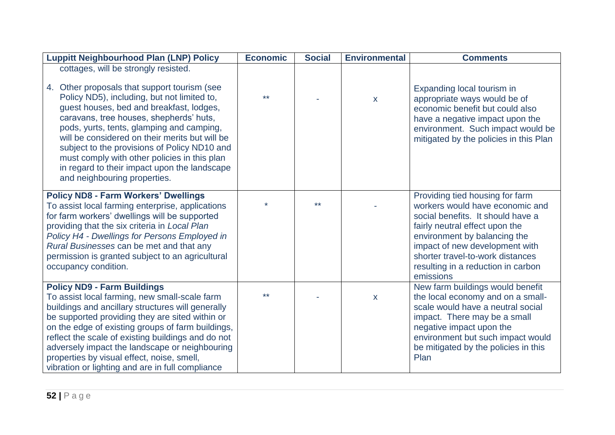| <b>Luppitt Neighbourhood Plan (LNP) Policy</b>                                                                                                                                                                                                                                                                                                                                                                                                                                                            | <b>Economic</b> | <b>Social</b> | <b>Environmental</b> | <b>Comments</b>                                                                                                                                                                                                                                                                                    |
|-----------------------------------------------------------------------------------------------------------------------------------------------------------------------------------------------------------------------------------------------------------------------------------------------------------------------------------------------------------------------------------------------------------------------------------------------------------------------------------------------------------|-----------------|---------------|----------------------|----------------------------------------------------------------------------------------------------------------------------------------------------------------------------------------------------------------------------------------------------------------------------------------------------|
| cottages, will be strongly resisted.<br>4. Other proposals that support tourism (see<br>Policy ND5), including, but not limited to,<br>guest houses, bed and breakfast, lodges,<br>caravans, tree houses, shepherds' huts,<br>pods, yurts, tents, glamping and camping,<br>will be considered on their merits but will be<br>subject to the provisions of Policy ND10 and<br>must comply with other policies in this plan<br>in regard to their impact upon the landscape<br>and neighbouring properties. | $***$           |               | $\mathsf X$          | Expanding local tourism in<br>appropriate ways would be of<br>economic benefit but could also<br>have a negative impact upon the<br>environment. Such impact would be<br>mitigated by the policies in this Plan                                                                                    |
| <b>Policy ND8 - Farm Workers' Dwellings</b><br>To assist local farming enterprise, applications<br>for farm workers' dwellings will be supported<br>providing that the six criteria in Local Plan<br>Policy H4 - Dwellings for Persons Employed in<br>Rural Businesses can be met and that any<br>permission is granted subject to an agricultural<br>occupancy condition.                                                                                                                                |                 | $***$         |                      | Providing tied housing for farm<br>workers would have economic and<br>social benefits. It should have a<br>fairly neutral effect upon the<br>environment by balancing the<br>impact of new development with<br>shorter travel-to-work distances<br>resulting in a reduction in carbon<br>emissions |
| <b>Policy ND9 - Farm Buildings</b><br>To assist local farming, new small-scale farm<br>buildings and ancillary structures will generally<br>be supported providing they are sited within or<br>on the edge of existing groups of farm buildings,<br>reflect the scale of existing buildings and do not<br>adversely impact the landscape or neighbouring<br>properties by visual effect, noise, smell,<br>vibration or lighting and are in full compliance                                                | $***$           |               | $\mathsf{X}$         | New farm buildings would benefit<br>the local economy and on a small-<br>scale would have a neutral social<br>impact. There may be a small<br>negative impact upon the<br>environment but such impact would<br>be mitigated by the policies in this<br>Plan                                        |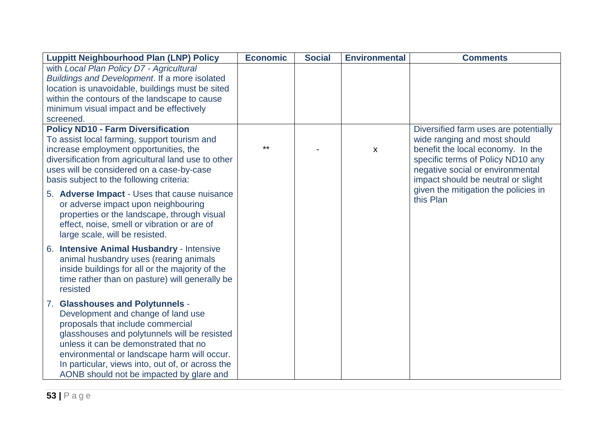| <b>Luppitt Neighbourhood Plan (LNP) Policy</b>      | <b>Economic</b> | <b>Social</b> | <b>Environmental</b>      | <b>Comments</b>                       |
|-----------------------------------------------------|-----------------|---------------|---------------------------|---------------------------------------|
| with Local Plan Policy D7 - Agricultural            |                 |               |                           |                                       |
| Buildings and Development. If a more isolated       |                 |               |                           |                                       |
| location is unavoidable, buildings must be sited    |                 |               |                           |                                       |
| within the contours of the landscape to cause       |                 |               |                           |                                       |
| minimum visual impact and be effectively            |                 |               |                           |                                       |
| screened.                                           |                 |               |                           |                                       |
| <b>Policy ND10 - Farm Diversification</b>           |                 |               |                           | Diversified farm uses are potentially |
| To assist local farming, support tourism and        |                 |               |                           | wide ranging and most should          |
| increase employment opportunities, the              | $***$           |               | $\boldsymbol{\mathsf{X}}$ | benefit the local economy. In the     |
| diversification from agricultural land use to other |                 |               |                           | specific terms of Policy ND10 any     |
| uses will be considered on a case-by-case           |                 |               |                           | negative social or environmental      |
| basis subject to the following criteria:            |                 |               |                           | impact should be neutral or slight    |
| 5. Adverse Impact - Uses that cause nuisance        |                 |               |                           | given the mitigation the policies in  |
| or adverse impact upon neighbouring                 |                 |               |                           | this Plan                             |
| properties or the landscape, through visual         |                 |               |                           |                                       |
| effect, noise, smell or vibration or are of         |                 |               |                           |                                       |
| large scale, will be resisted.                      |                 |               |                           |                                       |
| 6. Intensive Animal Husbandry - Intensive           |                 |               |                           |                                       |
| animal husbandry uses (rearing animals              |                 |               |                           |                                       |
| inside buildings for all or the majority of the     |                 |               |                           |                                       |
| time rather than on pasture) will generally be      |                 |               |                           |                                       |
| resisted                                            |                 |               |                           |                                       |
|                                                     |                 |               |                           |                                       |
| 7. Glasshouses and Polytunnels -                    |                 |               |                           |                                       |
| Development and change of land use                  |                 |               |                           |                                       |
| proposals that include commercial                   |                 |               |                           |                                       |
| glasshouses and polytunnels will be resisted        |                 |               |                           |                                       |
| unless it can be demonstrated that no               |                 |               |                           |                                       |
| environmental or landscape harm will occur.         |                 |               |                           |                                       |
| In particular, views into, out of, or across the    |                 |               |                           |                                       |
| AONB should not be impacted by glare and            |                 |               |                           |                                       |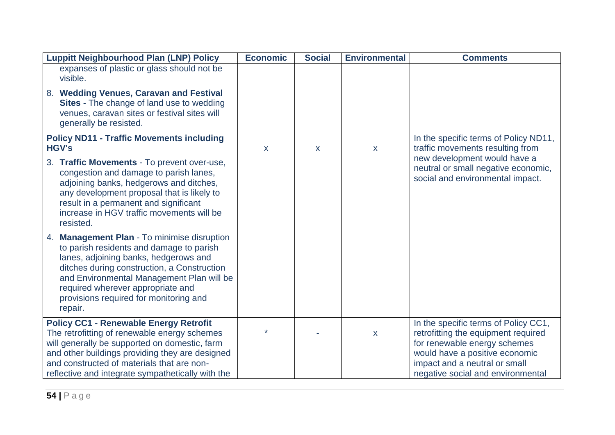| <b>Luppitt Neighbourhood Plan (LNP) Policy</b>                                                                                                                                                                                                                                                                                   | <b>Economic</b> | <b>Social</b> | <b>Environmental</b> | <b>Comments</b>                                                                                         |
|----------------------------------------------------------------------------------------------------------------------------------------------------------------------------------------------------------------------------------------------------------------------------------------------------------------------------------|-----------------|---------------|----------------------|---------------------------------------------------------------------------------------------------------|
| expanses of plastic or glass should not be<br>visible.                                                                                                                                                                                                                                                                           |                 |               |                      |                                                                                                         |
| 8. Wedding Venues, Caravan and Festival<br><b>Sites</b> - The change of land use to wedding<br>venues, caravan sites or festival sites will<br>generally be resisted.                                                                                                                                                            |                 |               |                      |                                                                                                         |
| <b>Policy ND11 - Traffic Movements including</b><br><b>HGV's</b>                                                                                                                                                                                                                                                                 | X               | X             | $\mathsf{X}$         | In the specific terms of Policy ND11,<br>traffic movements resulting from                               |
| 3. Traffic Movements - To prevent over-use,<br>congestion and damage to parish lanes,<br>adjoining banks, hedgerows and ditches,<br>any development proposal that is likely to<br>result in a permanent and significant<br>increase in HGV traffic movements will be<br>resisted.                                                |                 |               |                      | new development would have a<br>neutral or small negative economic,<br>social and environmental impact. |
| <b>Management Plan - To minimise disruption</b><br>4.<br>to parish residents and damage to parish<br>lanes, adjoining banks, hedgerows and<br>ditches during construction, a Construction<br>and Environmental Management Plan will be<br>required wherever appropriate and<br>provisions required for monitoring and<br>repair. |                 |               |                      |                                                                                                         |
| <b>Policy CC1 - Renewable Energy Retrofit</b>                                                                                                                                                                                                                                                                                    |                 |               |                      | In the specific terms of Policy CC1,                                                                    |
| The retrofitting of renewable energy schemes                                                                                                                                                                                                                                                                                     |                 |               | $\mathsf{X}$         | retrofitting the equipment required                                                                     |
| will generally be supported on domestic, farm<br>and other buildings providing they are designed                                                                                                                                                                                                                                 |                 |               |                      | for renewable energy schemes<br>would have a positive economic                                          |
| and constructed of materials that are non-                                                                                                                                                                                                                                                                                       |                 |               |                      | impact and a neutral or small                                                                           |
| reflective and integrate sympathetically with the                                                                                                                                                                                                                                                                                |                 |               |                      | negative social and environmental                                                                       |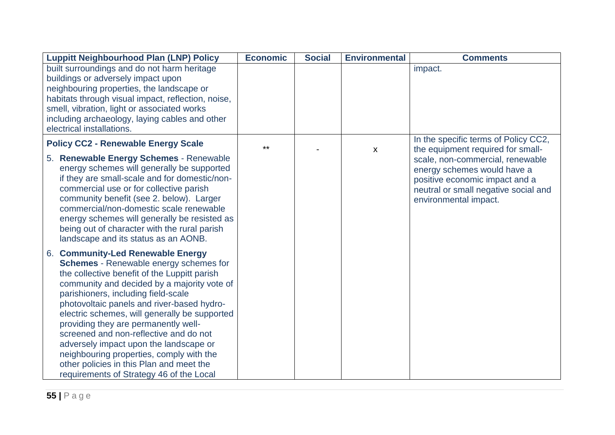| <b>Luppitt Neighbourhood Plan (LNP) Policy</b>                                                                                                                                                                                                                                                                                                                                                                                                                                                                                                                                   | <b>Economic</b> | <b>Social</b> | <b>Environmental</b> | <b>Comments</b>                                                                                                                                                    |
|----------------------------------------------------------------------------------------------------------------------------------------------------------------------------------------------------------------------------------------------------------------------------------------------------------------------------------------------------------------------------------------------------------------------------------------------------------------------------------------------------------------------------------------------------------------------------------|-----------------|---------------|----------------------|--------------------------------------------------------------------------------------------------------------------------------------------------------------------|
| built surroundings and do not harm heritage<br>buildings or adversely impact upon<br>neighbouring properties, the landscape or                                                                                                                                                                                                                                                                                                                                                                                                                                                   |                 |               |                      | impact.                                                                                                                                                            |
| habitats through visual impact, reflection, noise,                                                                                                                                                                                                                                                                                                                                                                                                                                                                                                                               |                 |               |                      |                                                                                                                                                                    |
| smell, vibration, light or associated works                                                                                                                                                                                                                                                                                                                                                                                                                                                                                                                                      |                 |               |                      |                                                                                                                                                                    |
| including archaeology, laying cables and other<br>electrical installations.                                                                                                                                                                                                                                                                                                                                                                                                                                                                                                      |                 |               |                      |                                                                                                                                                                    |
| <b>Policy CC2 - Renewable Energy Scale</b>                                                                                                                                                                                                                                                                                                                                                                                                                                                                                                                                       | $**$            |               | $\mathsf{X}$         | In the specific terms of Policy CC2,<br>the equipment required for small-                                                                                          |
| 5. Renewable Energy Schemes - Renewable<br>energy schemes will generally be supported<br>if they are small-scale and for domestic/non-<br>commercial use or for collective parish<br>community benefit (see 2. below). Larger<br>commercial/non-domestic scale renewable<br>energy schemes will generally be resisted as<br>being out of character with the rural parish<br>landscape and its status as an AONB.                                                                                                                                                                 |                 |               |                      | scale, non-commercial, renewable<br>energy schemes would have a<br>positive economic impact and a<br>neutral or small negative social and<br>environmental impact. |
| 6. Community-Led Renewable Energy<br>Schemes - Renewable energy schemes for<br>the collective benefit of the Luppitt parish<br>community and decided by a majority vote of<br>parishioners, including field-scale<br>photovoltaic panels and river-based hydro-<br>electric schemes, will generally be supported<br>providing they are permanently well-<br>screened and non-reflective and do not<br>adversely impact upon the landscape or<br>neighbouring properties, comply with the<br>other policies in this Plan and meet the<br>requirements of Strategy 46 of the Local |                 |               |                      |                                                                                                                                                                    |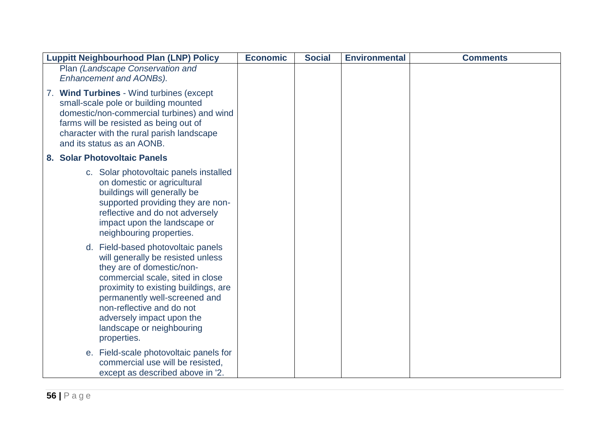| <b>Luppitt Neighbourhood Plan (LNP) Policy</b>                                                                                                                                                                                                                                                                          | <b>Economic</b> | <b>Social</b> | <b>Environmental</b> | <b>Comments</b> |
|-------------------------------------------------------------------------------------------------------------------------------------------------------------------------------------------------------------------------------------------------------------------------------------------------------------------------|-----------------|---------------|----------------------|-----------------|
| Plan (Landscape Conservation and<br><b>Enhancement and AONBs).</b>                                                                                                                                                                                                                                                      |                 |               |                      |                 |
| <b>Wind Turbines - Wind turbines (except</b><br>7.<br>small-scale pole or building mounted<br>domestic/non-commercial turbines) and wind<br>farms will be resisted as being out of<br>character with the rural parish landscape<br>and its status as an AONB.                                                           |                 |               |                      |                 |
| 8. Solar Photovoltaic Panels                                                                                                                                                                                                                                                                                            |                 |               |                      |                 |
| c. Solar photovoltaic panels installed<br>on domestic or agricultural<br>buildings will generally be<br>supported providing they are non-<br>reflective and do not adversely<br>impact upon the landscape or<br>neighbouring properties.                                                                                |                 |               |                      |                 |
| d. Field-based photovoltaic panels<br>will generally be resisted unless<br>they are of domestic/non-<br>commercial scale, sited in close<br>proximity to existing buildings, are<br>permanently well-screened and<br>non-reflective and do not<br>adversely impact upon the<br>landscape or neighbouring<br>properties. |                 |               |                      |                 |
| e. Field-scale photovoltaic panels for<br>commercial use will be resisted,<br>except as described above in '2.                                                                                                                                                                                                          |                 |               |                      |                 |